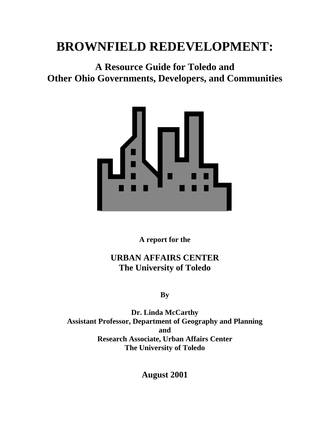# **BROWNFIELD REDEVELOPMENT:**

**A Resource Guide for Toledo and Other Ohio Governments, Developers, and Communities**



**A report for the**

# **URBAN AFFAIRS CENTER The University of Toledo**

**By**

**Dr. Linda McCarthy Assistant Professor, Department of Geography and Planning and Research Associate, Urban Affairs Center The University of Toledo**

**August 2001**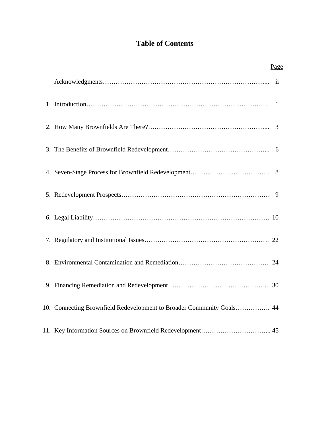# **Table of Contents**

|                                                                       | Page |  |
|-----------------------------------------------------------------------|------|--|
|                                                                       |      |  |
|                                                                       |      |  |
|                                                                       |      |  |
|                                                                       |      |  |
|                                                                       |      |  |
|                                                                       |      |  |
|                                                                       |      |  |
|                                                                       |      |  |
|                                                                       |      |  |
|                                                                       |      |  |
| 10. Connecting Brownfield Redevelopment to Broader Community Goals 44 |      |  |
|                                                                       |      |  |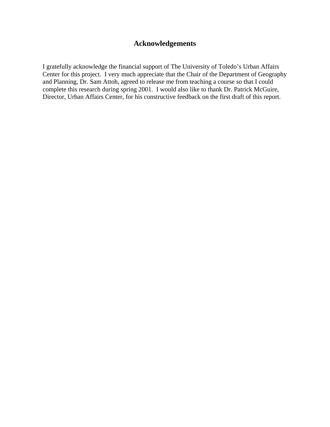### **Acknowledgements**

I gratefully acknowledge the financial support of The University of Toledo's Urban Affairs Center for this project. I very much appreciate that the Chair of the Department of Geography and Planning, Dr. Sam Attoh, agreed to release me from teaching a course so that I could complete this research during spring 2001. I would also like to thank Dr. Patrick McGuire, Director, Urban Affairs Center, for his constructive feedback on the first draft of this report.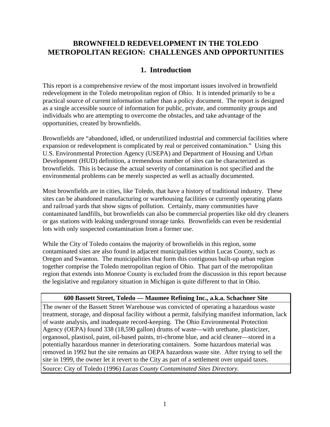### **BROWNFIELD REDEVELOPMENT IN THE TOLEDO METROPOLITAN REGION: CHALLENGES AND OPPORTUNITIES**

### **1. Introduction**

This report is a comprehensive review of the most important issues involved in brownfield redevelopment in the Toledo metropolitan region of Ohio. It is intended primarily to be a practical source of current information rather than a policy document. The report is designed as a single accessible source of information for public, private, and community groups and individuals who are attempting to overcome the obstacles, and take advantage of the opportunities, created by brownfields.

Brownfields are "abandoned, idled, or underutilized industrial and commercial facilities where expansion or redevelopment is complicated by real or perceived contamination." Using this U.S. Environmental Protection Agency (USEPA) and Department of Housing and Urban Development (HUD) definition, a tremendous number of sites can be characterized as brownfields. This is because the actual severity of contamination is not specified and the environmental problems can be merely suspected as well as actually documented.

Most brownfields are in cities, like Toledo, that have a history of traditional industry. These sites can be abandoned manufacturing or warehousing facilities or currently operating plants and railroad yards that show signs of pollution. Certainly, many communities have contaminated landfills, but brownfields can also be commercial properties like old dry cleaners or gas stations with leaking underground storage tanks. Brownfields can even be residential lots with only suspected contamination from a former use.

While the City of Toledo contains the majority of brownfields in this region, some contaminated sites are also found in adjacent municipalities within Lucas County, such as Oregon and Swanton. The municipalities that form this contiguous built-up urban region together comprise the Toledo metropolitan region of Ohio. That part of the metropolitan region that extends into Monroe County is excluded from the discussion in this report because the legislative and regulatory situation in Michigan is quite different to that in Ohio.

#### **600 Bassett Street, Toledo — Maumee Refining Inc., a.k.a. Schachner Site**

The owner of the Bassett Street Warehouse was convicted of operating a hazardous waste treatment, storage, and disposal facility without a permit, falsifying manifest information, lack of waste analysis, and inadequate record-keeping. The Ohio Environmental Protection Agency (OEPA) found 338 (18,590 gallon) drums of waste—with urethane, plasticizer, organosol, plastisol, paint, oil-based paints, tri-chrome blue, and acid cleaner—stored in a potentially hazardous manner in deteriorating containers. Some hazardous material was removed in 1992 but the site remains an OEPA hazardous waste site. After trying to sell the site in 1999, the owner let it revert to the City as part of a settlement over unpaid taxes. Source: City of Toledo (1996) *Lucas County Contaminated Sites Directory*.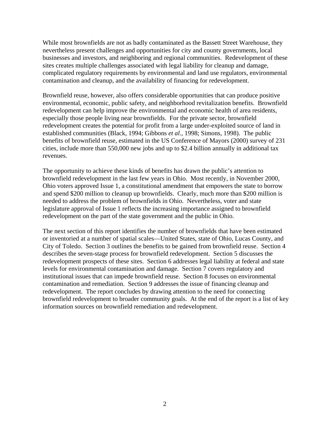While most brownfields are not as badly contaminated as the Bassett Street Warehouse, they nevertheless present challenges and opportunities for city and county governments, local businesses and investors, and neighboring and regional communities. Redevelopment of these sites creates multiple challenges associated with legal liability for cleanup and damage, complicated regulatory requirements by environmental and land use regulators, environmental contamination and cleanup, and the availability of financing for redevelopment.

Brownfield reuse, however, also offers considerable opportunities that can produce positive environmental, economic, public safety, and neighborhood revitalization benefits. Brownfield redevelopment can help improve the environmental and economic health of area residents, especially those people living near brownfields. For the private sector, brownfield redevelopment creates the potential for profit from a large under-exploited source of land in established communities (Black, 1994; Gibbons *et al*., 1998; Simons, 1998). The public benefits of brownfield reuse, estimated in the US Conference of Mayors (2000) survey of 231 cities, include more than 550,000 new jobs and up to \$2.4 billion annually in additional tax revenues.

The opportunity to achieve these kinds of benefits has drawn the public's attention to brownfield redevelopment in the last few years in Ohio. Most recently, in November 2000, Ohio voters approved Issue 1, a constitutional amendment that empowers the state to borrow and spend \$200 million to cleanup up brownfields. Clearly, much more than \$200 million is needed to address the problem of brownfields in Ohio. Nevertheless, voter and state legislature approval of Issue 1 reflects the increasing importance assigned to brownfield redevelopment on the part of the state government and the public in Ohio.

The next section of this report identifies the number of brownfields that have been estimated or inventoried at a number of spatial scales—United States, state of Ohio, Lucas County, and City of Toledo. Section 3 outlines the benefits to be gained from brownfield reuse. Section 4 describes the seven-stage process for brownfield redevelopment. Section 5 discusses the redevelopment prospects of these sites. Section 6 addresses legal liability at federal and state levels for environmental contamination and damage. Section 7 covers regulatory and institutional issues that can impede brownfield reuse. Section 8 focuses on environmental contamination and remediation. Section 9 addresses the issue of financing cleanup and redevelopment. The report concludes by drawing attention to the need for connecting brownfield redevelopment to broader community goals. At the end of the report is a list of key information sources on brownfield remediation and redevelopment.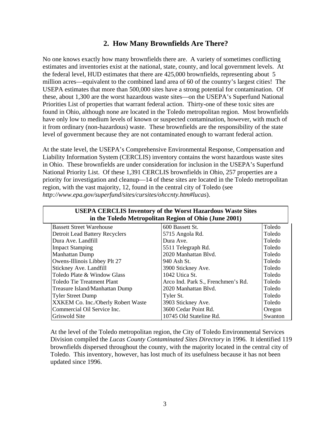### **2. How Many Brownfields Are There?**

No one knows exactly how many brownfields there are. A variety of sometimes conflicting estimates and inventories exist at the national, state, county, and local government levels. At the federal level, HUD estimates that there are 425,000 brownfields, representing about 5 million acres—equivalent to the combined land area of 60 of the country's largest cities! The USEPA estimates that more than 500,000 sites have a strong potential for contamination. Of these, about 1,300 are the worst hazardous waste sites—on the USEPA's Superfund National Priorities List of properties that warrant federal action. Thirty-one of these toxic sites are found in Ohio, although none are located in the Toledo metropolitan region. Most brownfields have only low to medium levels of known or suspected contamination, however, with much of it from ordinary (non-hazardous) waste. These brownfields are the responsibility of the state level of government because they are not contaminated enough to warrant federal action.

At the state level, the USEPA's Comprehensive Environmental Response, Compensation and Liability Information System (CERCLIS) inventory contains the worst hazardous waste sites in Ohio. These brownfields are under consideration for inclusion in the USEPA's Superfund National Priority List. Of these 1,391 CERCLIS brownfields in Ohio, 257 properties are a priority for investigation and cleanup—14 of these sites are located in the Toledo metropolitan region, with the vast majority, 12, found in the central city of Toledo (see *http://www.epa.gov/superfund/sites/cursites/ohccnty.htm#lucas*).

| <b>USEPA CERCLIS Inventory of the Worst Hazardous Waste Sites</b> |                                                       |         |  |  |  |
|-------------------------------------------------------------------|-------------------------------------------------------|---------|--|--|--|
|                                                                   | in the Toledo Metropolitan Region of Ohio (June 2001) |         |  |  |  |
| <b>Bassett Street Warehouse</b>                                   | 600 Bassett St.                                       | Toledo  |  |  |  |
| <b>Detroit Lead Battery Recyclers</b>                             | 5715 Angola Rd.                                       | Toledo  |  |  |  |
| Dura Ave. Landfill                                                | Dura Ave.                                             | Toledo  |  |  |  |
| <b>Impact Stamping</b>                                            | 5511 Telegraph Rd.                                    | Toledo  |  |  |  |
| Manhattan Dump                                                    | 2020 Manhattan Blvd.                                  | Toledo  |  |  |  |
| Owens-Illinois Libbey Plt 27                                      | 940 Ash St.                                           | Toledo  |  |  |  |
| Stickney Ave. Landfill                                            | 3900 Stickney Ave.                                    | Toledo  |  |  |  |
| Toledo Plate & Window Glass                                       | 1042 Utica St.                                        | Toledo  |  |  |  |
| Toledo Tie Treatment Plant                                        | Arco Ind. Park S., Frenchmen's Rd.                    | Toledo  |  |  |  |
| Treasure Island/Manhattan Dump                                    | 2020 Manhattan Blvd.                                  | Toledo  |  |  |  |
| <b>Tyler Street Dump</b>                                          | Tyler St.                                             | Toledo  |  |  |  |
| XXKEM Co. Inc./Oberly Robert Waste                                | 3903 Stickney Ave.                                    | Toledo  |  |  |  |
| Commercial Oil Service Inc.                                       | 3600 Cedar Point Rd.                                  | Oregon  |  |  |  |
| Griswold Site                                                     | 10745 Old Stateline Rd.                               | Swanton |  |  |  |

At the level of the Toledo metropolitan region, the City of Toledo Environmental Services Division compiled the *Lucas County Contaminated Sites Directory* in 1996. It identified 119 brownfields dispersed throughout the county, with the majority located in the central city of Toledo. This inventory, however, has lost much of its usefulness because it has not been updated since 1996.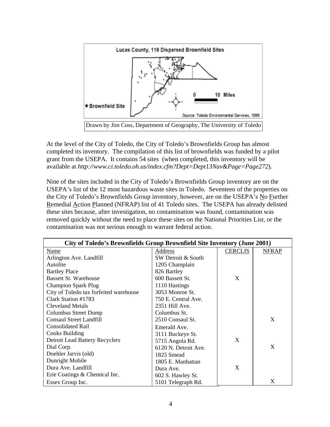

At the level of the City of Toledo, the City of Toledo's Brownfields Group has almost completed its inventory. The compilation of this list of brownfields was funded by a pilot grant from the USEPA. It contains 54 sites (when completed, this inventory will be available at *http://www.ci.toledo.oh.us/index.cfm?Dept=Dept13Nav&Page=Page272*).

Nine of the sites included in the City of Toledo's Brownfields Group inventory are on the USEPA's list of the 12 most hazardous waste sites in Toledo. Seventeen of the properties on the City of Toledo's Brownfields Group inventory, however, are on the USEPA's No Further Remedial Action Planned (NFRAP) list of 41 Toledo sites. The USEPA has already delisted these sites because, after investigation, no contamination was found, contamination was removed quickly without the need to place these sites on the National Priorities List, or the contamination was not serious enough to warrant federal action.

| City of Toledo's Brownfields Group Brownfield Site Inventory (June 2001) |                      |                |              |
|--------------------------------------------------------------------------|----------------------|----------------|--------------|
| Name                                                                     | Address              | <b>CERCLIS</b> | <b>NFRAP</b> |
| Arlington Ave. Landfill                                                  | SW Detroit & South   |                |              |
| Autolite                                                                 | 1205 Champlain       |                |              |
| <b>Bartley Place</b>                                                     | 826 Bartley          |                |              |
| <b>Bassett St. Warehouse</b>                                             | 600 Bassett St.      | X              |              |
| <b>Champion Spark Plug</b>                                               | 1110 Hastings        |                |              |
| City of Toledo tax forfeited warehouse                                   | 3053 Monroe St.      |                |              |
| Clark Station #1783                                                      | 750 E. Central Ave.  |                |              |
| <b>Cleveland Metals</b>                                                  | 2351 Hill Ave.       |                |              |
| Columbus Street Dump                                                     | Columbus St.         |                |              |
| <b>Consaul Street Landfill</b>                                           | 2510 Consaul St.     |                | X            |
| <b>Consolidated Rail</b>                                                 | Emerald Ave.         |                |              |
| Cooks Building                                                           | 3111 Buckeye St.     |                |              |
| <b>Detroit Lead Battery Recyclers</b>                                    | 5715 Angola Rd.      | X              |              |
| Dial Corp.                                                               | 6120 N. Detroit Ave. |                | X            |
| Doehler Jarvis (old)                                                     | 1825 Smead           |                |              |
| Dunright Mobile                                                          | 1805 E. Manhattan    |                |              |
| Dura Ave. Landfill                                                       | Dura Ave.            | X              |              |
| Erie Coatings & Chemical Inc.                                            | 602 S. Hawley St.    |                |              |
| Essex Group Inc.                                                         | 5101 Telegraph Rd.   |                | X            |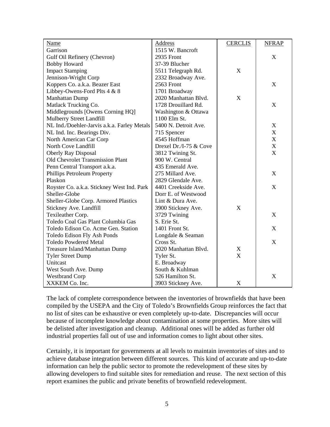| <b>Name</b>                                 | Address                | <b>CERCLIS</b> | <b>NFRAP</b>              |
|---------------------------------------------|------------------------|----------------|---------------------------|
| Garrison                                    | 1515 W. Bancroft       |                |                           |
| Gulf Oil Refinery (Chevron)                 | 2935 Front             |                | X                         |
| <b>Bobby Howard</b>                         | 37-39 Blucher          |                |                           |
| <b>Impact Stamping</b>                      | 5511 Telegraph Rd.     | X              |                           |
| Jennison-Wright Corp                        | 2332 Broadway Ave.     |                |                           |
| Koppers Co. a.k.a. Beazer East              | 2563 Front             |                | $\boldsymbol{\mathrm{X}}$ |
| Libbey-Owens-Ford Plts 4 & 8                | 1701 Broadway          |                |                           |
| Manhattan Dump                              | 2020 Manhattan Blvd.   | X              |                           |
| Matlack Trucking Co.                        | 1728 Drouillard Rd.    |                | $\boldsymbol{\mathrm{X}}$ |
| Middlegrounds [Owens Corning HQ]            | Washington & Ottawa    |                |                           |
| Mulberry Street Landfill                    | 1100 Elm St.           |                |                           |
| NL Ind./Doehler-Jarvis a.k.a. Farley Metals | 5400 N. Detroit Ave.   |                | $\mathbf X$               |
| NL Ind. Inc. Bearings Div.                  | 715 Spencer            |                | $\mathbf X$               |
| North American Car Corp                     | 4545 Hoffman           |                | X                         |
| North Cove Landfill                         | Drexel Dr./I-75 & Cove |                | $\mathbf X$               |
| <b>Oberly Ray Disposal</b>                  | 3812 Twining St.       |                | X                         |
| <b>Old Chevrolet Transmission Plant</b>     | 900 W. Central         |                |                           |
| Penn Central Transport a.k.a.               | 435 Emerald Ave.       |                |                           |
| Phillips Petroleum Property                 | 275 Millard Ave.       |                | $\mathbf X$               |
| Plaskon                                     | 2829 Glendale Ave.     |                |                           |
| Royster Co. a.k.a. Stickney West Ind. Park  | 4401 Creekside Ave.    |                | X                         |
| Sheller-Globe                               | Dorr E. of Westwood    |                |                           |
| Sheller-Globe Corp. Armored Plastics        | Lint & Dura Ave.       |                |                           |
| Stickney Ave. Landfill                      | 3900 Stickney Ave.     | X              |                           |
| Texileather Corp.                           | 3729 Twining           |                | X                         |
| Toledo Coal Gas Plant Columbia Gas          | S. Erie St.            |                |                           |
| Toledo Edison Co. Acme Gen. Station         | 1401 Front St.         |                | X                         |
| Toledo Edison Fly Ash Ponds                 | Longdale & Seaman      |                |                           |
| <b>Toledo Powdered Metal</b>                | Cross St.              |                | X                         |
| Treasure Island/Manhattan Dump              | 2020 Manhattan Blvd.   | X              |                           |
| <b>Tyler Street Dump</b>                    | Tyler St.              | X              |                           |
| Unitcast                                    | E. Broadway            |                |                           |
| West South Ave. Dump                        | South & Kuhlman        |                |                           |
| <b>Westbrand Corp</b>                       | 526 Hamilton St.       |                | X                         |
| XXKEM Co. Inc.                              | 3903 Stickney Ave.     | $\mathbf X$    |                           |

The lack of complete correspondence between the inventories of brownfields that have been compiled by the USEPA and the City of Toledo's Brownfields Group reinforces the fact that no list of sites can be exhaustive or even completely up-to-date. Discrepancies will occur because of incomplete knowledge about contamination at some properties. More sites will be delisted after investigation and cleanup. Additional ones will be added as further old industrial properties fall out of use and information comes to light about other sites.

Certainly, it is important for governments at all levels to maintain inventories of sites and to achieve database integration between different sources. This kind of accurate and up-to-date information can help the public sector to promote the redevelopment of these sites by allowing developers to find suitable sites for remediation and reuse. The next section of this report examines the public and private benefits of brownfield redevelopment.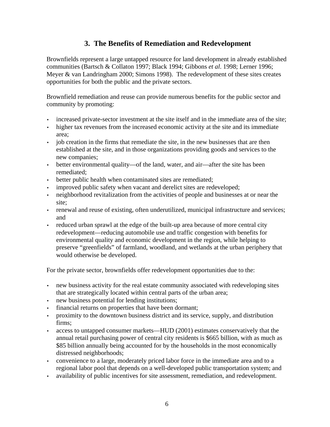### **3. The Benefits of Remediation and Redevelopment**

Brownfields represent a large untapped resource for land development in already established communities (Bartsch & Collaton 1997; Black 1994; Gibbons *et al*. 1998; Lerner 1996; Meyer & van Landringham 2000; Simons 1998). The redevelopment of these sites creates opportunities for both the public and the private sectors.

Brownfield remediation and reuse can provide numerous benefits for the public sector and community by promoting:

- increased private-sector investment at the site itself and in the immediate area of the site;
- higher tax revenues from the increased economic activity at the site and its immediate area;
- job creation in the firms that remediate the site, in the new businesses that are then established at the site, and in those organizations providing goods and services to the new companies;
- better environmental quality—of the land, water, and air—after the site has been remediated;
- better public health when contaminated sites are remediated;
- improved public safety when vacant and derelict sites are redeveloped;
- neighborhood revitalization from the activities of people and businesses at or near the site;
- renewal and reuse of existing, often underutilized, municipal infrastructure and services; and
- reduced urban sprawl at the edge of the built-up area because of more central city redevelopment—reducing automobile use and traffic congestion with benefits for environmental quality and economic development in the region, while helping to preserve "greenfields" of farmland, woodland, and wetlands at the urban periphery that would otherwise be developed.

For the private sector, brownfields offer redevelopment opportunities due to the:

- new business activity for the real estate community associated with redeveloping sites that are strategically located within central parts of the urban area;
- new business potential for lending institutions;
- financial returns on properties that have been dormant;
- proximity to the downtown business district and its service, supply, and distribution firms;
- access to untapped consumer markets—HUD (2001) estimates conservatively that the annual retail purchasing power of central city residents is \$665 billion, with as much as \$85 billion annually being accounted for by the households in the most economically distressed neighborhoods;
- convenience to a large, moderately priced labor force in the immediate area and to a regional labor pool that depends on a well-developed public transportation system; and
- availability of public incentives for site assessment, remediation, and redevelopment.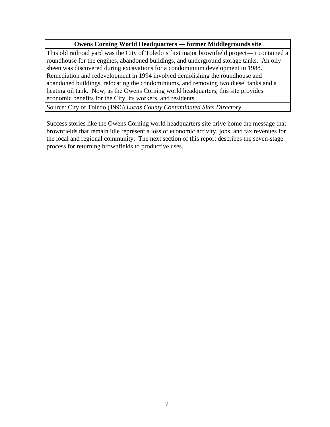#### **Owens Corning World Headquarters — former Middlegrounds site**

This old railroad yard was the City of Toledo's first major brownfield project—it contained a roundhouse for the engines, abandoned buildings, and underground storage tanks. An oily sheen was discovered during excavations for a condominium development in 1988. Remediation and redevelopment in 1994 involved demolishing the roundhouse and abandoned buildings, relocating the condominiums, and removing two diesel tanks and a heating oil tank. Now, as the Owens Corning world headquarters, this site provides economic benefits for the City, its workers, and residents.

Source: City of Toledo (1996) *Lucas County Contaminated Sites Directory*.

Success stories like the Owens Corning world headquarters site drive home the message that brownfields that remain idle represent a loss of economic activity, jobs, and tax revenues for the local and regional community. The next section of this report describes the seven-stage process for returning brownfields to productive uses.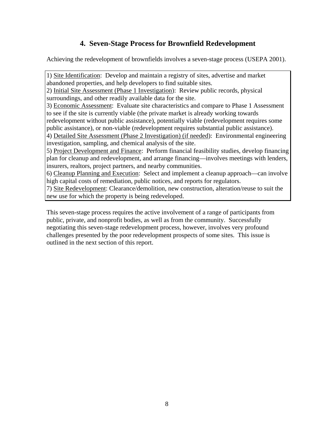# **4. Seven-Stage Process for Brownfield Redevelopment**

Achieving the redevelopment of brownfields involves a seven-stage process (USEPA 2001).

1) Site Identification: Develop and maintain a registry of sites, advertise and market abandoned properties, and help developers to find suitable sites.

2) Initial Site Assessment (Phase 1 Investigation): Review public records, physical surroundings, and other readily available data for the site.

3) Economic Assessment: Evaluate site characteristics and compare to Phase 1 Assessment to see if the site is currently viable (the private market is already working towards

redevelopment without public assistance), potentially viable (redevelopment requires some public assistance), or non-viable (redevelopment requires substantial public assistance).

4) Detailed Site Assessment (Phase 2 Investigation) (if needed): Environmental engineering investigation, sampling, and chemical analysis of the site.

5) Project Development and Finance: Perform financial feasibility studies, develop financing plan for cleanup and redevelopment, and arrange financing—involves meetings with lenders, insurers, realtors, project partners, and nearby communities.

6) Cleanup Planning and Execution: Select and implement a cleanup approach—can involve high capital costs of remediation, public notices, and reports for regulators.

7) Site Redevelopment: Clearance/demolition, new construction, alteration/reuse to suit the new use for which the property is being redeveloped.

This seven-stage process requires the active involvement of a range of participants from public, private, and nonprofit bodies, as well as from the community. Successfully negotiating this seven-stage redevelopment process, however, involves very profound challenges presented by the poor redevelopment prospects of some sites. This issue is outlined in the next section of this report.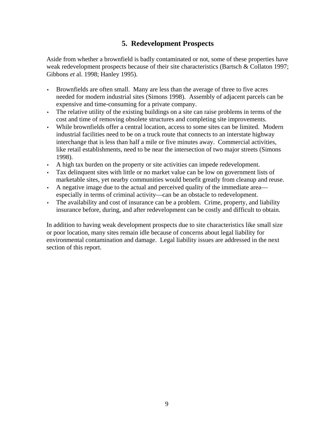## **5. Redevelopment Prospects**

Aside from whether a brownfield is badly contaminated or not, some of these properties have weak redevelopment prospects because of their site characteristics (Bartsch & Collaton 1997; Gibbons *et* al. 1998; Hanley 1995).

- Brownfields are often small. Many are less than the average of three to five acres needed for modern industrial sites (Simons 1998). Assembly of adjacent parcels can be expensive and time-consuming for a private company.
- The relative utility of the existing buildings on a site can raise problems in terms of the cost and time of removing obsolete structures and completing site improvements.
- While brownfields offer a central location, access to some sites can be limited. Modern industrial facilities need to be on a truck route that connects to an interstate highway interchange that is less than half a mile or five minutes away. Commercial activities, like retail establishments, need to be near the intersection of two major streets (Simons 1998).
- A high tax burden on the property or site activities can impede redevelopment.
- Tax delinquent sites with little or no market value can be low on government lists of marketable sites, yet nearby communities would benefit greatly from cleanup and reuse.
- A negative image due to the actual and perceived quality of the immediate area especially in terms of criminal activity—can be an obstacle to redevelopment.
- The availability and cost of insurance can be a problem. Crime, property, and liability insurance before, during, and after redevelopment can be costly and difficult to obtain.

In addition to having weak development prospects due to site characteristics like small size or poor location, many sites remain idle because of concerns about legal liability for environmental contamination and damage. Legal liability issues are addressed in the next section of this report.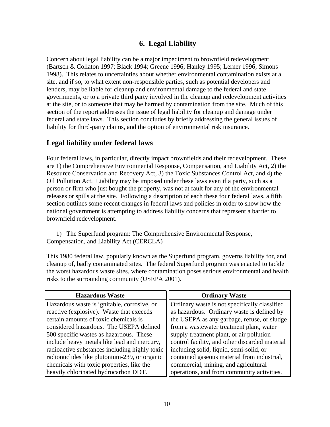### **6. Legal Liability**

Concern about legal liability can be a major impediment to brownfield redevelopment (Bartsch & Collaton 1997; Black 1994; Greene 1996; Hanley 1995; Lerner 1996; Simons 1998). This relates to uncertainties about whether environmental contamination exists at a site, and if so, to what extent non-responsible parties, such as potential developers and lenders, may be liable for cleanup and environmental damage to the federal and state governments, or to a private third party involved in the cleanup and redevelopment activities at the site, or to someone that may be harmed by contamination from the site. Much of this section of the report addresses the issue of legal liability for cleanup and damage under federal and state laws. This section concludes by briefly addressing the general issues of liability for third-party claims, and the option of environmental risk insurance.

### **Legal liability under federal laws**

Four federal laws, in particular, directly impact brownfields and their redevelopment. These are 1) the Comprehensive Environmental Response, Compensation, and Liability Act, 2) the Resource Conservation and Recovery Act, 3) the Toxic Substances Control Act, and 4) the Oil Pollution Act. Liability may be imposed under these laws even if a party, such as a person or firm who just bought the property, was not at fault for any of the environmental releases or spills at the site. Following a description of each these four federal laws, a fifth section outlines some recent changes in federal laws and policies in order to show how the national government is attempting to address liability concerns that represent a barrier to brownfield redevelopment.

1) The Superfund program: The Comprehensive Environmental Response, Compensation, and Liability Act (CERCLA)

This 1980 federal law, popularly known as the Superfund program, governs liability for, and cleanup of, badly contaminated sites. The federal Superfund program was enacted to tackle the worst hazardous waste sites, where contamination poses serious environmental and health risks to the surrounding community (USEPA 2001).

| <b>Hazardous Waste</b>                        | <b>Ordinary Waste</b>                          |
|-----------------------------------------------|------------------------------------------------|
| Hazardous waste is ignitable, corrosive, or   | Ordinary waste is not specifically classified  |
| reactive (explosive). Waste that exceeds      | as hazardous. Ordinary waste is defined by     |
| certain amounts of toxic chemicals is         | the USEPA as any garbage, refuse, or sludge    |
| considered hazardous. The USEPA defined       | from a wastewater treatment plant, water       |
| 500 specific wastes as hazardous. These       | supply treatment plant, or air pollution       |
| include heavy metals like lead and mercury,   | control facility, and other discarded material |
| radioactive substances including highly toxic | including solid, liquid, semi-solid, or        |
| radionuclides like plutonium-239, or organic  | contained gaseous material from industrial,    |
| chemicals with toxic properties, like the     | commercial, mining, and agricultural           |
| heavily chlorinated hydrocarbon DDT.          | operations, and from community activities.     |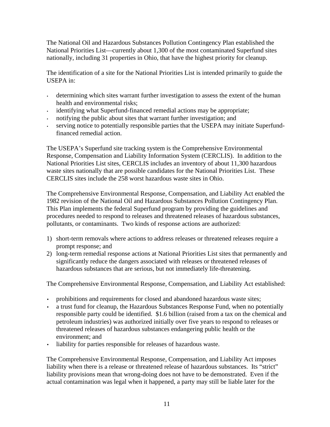The National Oil and Hazardous Substances Pollution Contingency Plan established the National Priorities List—currently about 1,300 of the most contaminated Superfund sites nationally, including 31 properties in Ohio, that have the highest priority for cleanup.

The identification of a site for the National Priorities List is intended primarily to guide the USEPA in:

- determining which sites warrant further investigation to assess the extent of the human health and environmental risks;
- identifying what Superfund-financed remedial actions may be appropriate;
- notifying the public about sites that warrant further investigation; and
- serving notice to potentially responsible parties that the USEPA may initiate Superfundfinanced remedial action.

The USEPA's Superfund site tracking system is the Comprehensive Environmental Response, Compensation and Liability Information System (CERCLIS). In addition to the National Priorities List sites, CERCLIS includes an inventory of about 11,300 hazardous waste sites nationally that are possible candidates for the National Priorities List. These CERCLIS sites include the 258 worst hazardous waste sites in Ohio.

The Comprehensive Environmental Response, Compensation, and Liability Act enabled the 1982 revision of the National Oil and Hazardous Substances Pollution Contingency Plan. This Plan implements the federal Superfund program by providing the guidelines and procedures needed to respond to releases and threatened releases of hazardous substances, pollutants, or contaminants. Two kinds of response actions are authorized:

- 1) short-term removals where actions to address releases or threatened releases require a prompt response; and
- 2) long-term remedial response actions at National Priorities List sites that permanently and significantly reduce the dangers associated with releases or threatened releases of hazardous substances that are serious, but not immediately life-threatening.

The Comprehensive Environmental Response, Compensation, and Liability Act established:

- prohibitions and requirements for closed and abandoned hazardous waste sites;
- a trust fund for cleanup, the Hazardous Substances Response Fund, when no potentially responsible party could be identified. \$1.6 billion (raised from a tax on the chemical and petroleum industries) was authorized initially over five years to respond to releases or threatened releases of hazardous substances endangering public health or the environment; and
- liability for parties responsible for releases of hazardous waste.

The Comprehensive Environmental Response, Compensation, and Liability Act imposes liability when there is a release or threatened release of hazardous substances. Its "strict" liability provisions mean that wrong-doing does not have to be demonstrated. Even if the actual contamination was legal when it happened, a party may still be liable later for the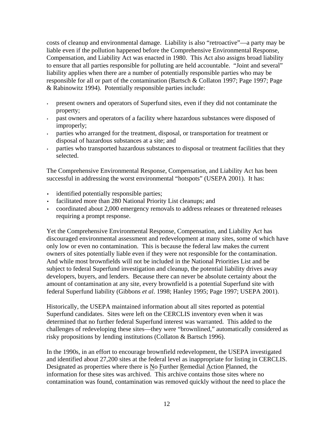costs of cleanup and environmental damage. Liability is also "retroactive"—a party may be liable even if the pollution happened before the Comprehensive Environmental Response, Compensation, and Liability Act was enacted in 1980. This Act also assigns broad liability to ensure that all parties responsible for polluting are held accountable. "Joint and several" liability applies when there are a number of potentially responsible parties who may be responsible for all or part of the contamination (Bartsch & Collaton 1997; Page 1997; Page & Rabinowitz 1994). Potentially responsible parties include:

- present owners and operators of Superfund sites, even if they did not contaminate the property;
- past owners and operators of a facility where hazardous substances were disposed of improperly;
- parties who arranged for the treatment, disposal, or transportation for treatment or disposal of hazardous substances at a site; and
- parties who transported hazardous substances to disposal or treatment facilities that they selected.

The Comprehensive Environmental Response, Compensation, and Liability Act has been successful in addressing the worst environmental "hotspots" (USEPA 2001). It has:

- identified potentially responsible parties;
- facilitated more than 280 National Priority List cleanups; and
- coordinated about 2,000 emergency removals to address releases or threatened releases requiring a prompt response.

Yet the Comprehensive Environmental Response, Compensation, and Liability Act has discouraged environmental assessment and redevelopment at many sites, some of which have only low or even no contamination. This is because the federal law makes the current owners of sites potentially liable even if they were not responsible for the contamination. And while most brownfields will not be included in the National Priorities List and be subject to federal Superfund investigation and cleanup, the potential liability drives away developers, buyers, and lenders. Because there can never be absolute certainty about the amount of contamination at any site, every brownfield is a potential Superfund site with federal Superfund liability (Gibbons *et al*. 1998; Hanley 1995; Page 1997; USEPA 2001).

Historically, the USEPA maintained information about all sites reported as potential Superfund candidates. Sites were left on the CERCLIS inventory even when it was determined that no further federal Superfund interest was warranted. This added to the challenges of redeveloping these sites—they were "brownlined," automatically considered as risky propositions by lending institutions (Collaton & Bartsch 1996).

In the 1990s, in an effort to encourage brownfield redevelopment, the USEPA investigated and identified about 27,200 sites at the federal level as inappropriate for listing in CERCLIS. Designated as properties where there is No Further Remedial Action Planned, the information for these sites was archived. This archive contains those sites where no contamination was found, contamination was removed quickly without the need to place the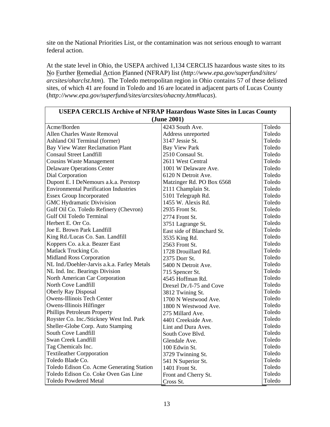site on the National Priorities List, or the contamination was not serious enough to warrant federal action.

At the state level in Ohio, the USEPA archived 1,134 CERCLIS hazardous waste sites to its No Further Remedial Action Planned (NFRAP) list (*http://www.epa.gov/superfund/sites/ arcsites/oharclst.htm*). The Toledo metropolitan region in Ohio contains 57 of these delisted sites, of which 41 are found in Toledo and 16 are located in adjacent parts of Lucas County (*http://www.epa.gov/superfund/sites/arcsites/ohacnty.htm#lucas*).

| <b>USEPA CERCLIS Archive of NFRAP Hazardous Waste Sites in Lucas County</b> |                            |        |  |  |
|-----------------------------------------------------------------------------|----------------------------|--------|--|--|
| (June 2001)                                                                 |                            |        |  |  |
| 4243 South Ave.<br>Toledo<br>Acme/Borden                                    |                            |        |  |  |
| <b>Allen Charles Waste Removal</b><br>Address unreported                    |                            | Toledo |  |  |
| Ashland Oil Terminal (former)                                               | 3147 Jessie St.            | Toledo |  |  |
| <b>Bay View Water Reclamation Plant</b>                                     | <b>Bay View Park</b>       | Toledo |  |  |
| <b>Consaul Street Landfill</b>                                              | 2510 Consaul St.           | Toledo |  |  |
| <b>Cousins Waste Management</b>                                             | 2611 West Central          | Toledo |  |  |
| <b>Delaware Operations Center</b>                                           | 1001 W Delaware Ave.       | Toledo |  |  |
| Dial Corporation                                                            | 6120 N Detroit Ave.        | Toledo |  |  |
| Dupont E. I DeNemours a.k.a. Perstorp                                       | Matzinger Rd. PO Box 6568  | Toledo |  |  |
| <b>Environmental Purification Industries</b>                                | 2111 Champlain St.         | Toledo |  |  |
| <b>Essex Group Incorporated</b>                                             | 5101 Telegraph Rd.         | Toledo |  |  |
| <b>GMC Hydramatic Divivision</b>                                            | 1455 W. Alexis Rd.         | Toledo |  |  |
| Gulf Oil Co. Toledo Refinery (Chevron)                                      | 2935 Front St.             | Toledo |  |  |
| <b>Gulf Oil Toledo Terminal</b>                                             | 2774 Front St.             | Toledo |  |  |
| Herbert E. Orr Co.                                                          | 3751 Lagrange St.          | Toledo |  |  |
| Joe E. Brown Park Landfill                                                  | East side of Blanchard St. | Toledo |  |  |
| King Rd./Lucas Co. San. Landfill                                            | 3535 King Rd.              | Toledo |  |  |
| Koppers Co. a.k.a. Beazer East                                              | 2563 Front St.             | Toledo |  |  |
| Matlack Trucking Co.                                                        | 1728 Drouillard Rd.        | Toledo |  |  |
| Midland Ross Corporation                                                    | 2375 Dorr St.              | Toledo |  |  |
| NL Ind./Doehler-Jarvis a.k.a. Farley Metals                                 | 5400 N Detroit Ave.        | Toledo |  |  |
| NL Ind. Inc. Bearings Division                                              | 715 Spencer St.            | Toledo |  |  |
| North American Car Corporation                                              | 4545 Hoffman Rd.           | Toledo |  |  |
| North Cove Landfill                                                         | Drexel Dr./I-75 and Cove   | Toledo |  |  |
| <b>Oberly Ray Disposal</b>                                                  | 3812 Twining St.           | Toledo |  |  |
| <b>Owens-Illinois Tech Center</b>                                           | 1700 N Westwood Ave.       | Toledo |  |  |
| Owens-Illinois Hilfinger                                                    | 1800 N Westwood Ave.       | Toledo |  |  |
| Phillips Petroleum Property                                                 | 275 Millard Ave.           | Toledo |  |  |
| Royster Co. Inc./Stickney West Ind. Park                                    | 4401 Creekside Ave.        | Toledo |  |  |
| Sheller-Globe Corp. Auto Stamping                                           | Lint and Dura Aves.        | Toledo |  |  |
| South Cove Landfill                                                         | South Cove Blvd.           | Toledo |  |  |
| Swan Creek Landfill                                                         | Glendale Ave.              | Toledo |  |  |
| Tag Chemicals Inc.                                                          | 100 Edwin St.              | Toledo |  |  |
| <b>Textileather Corpporation</b>                                            | 3729 Twinning St.          | Toledo |  |  |
| Toledo Blade Co.                                                            | 541 N Superior St.         | Toledo |  |  |
| Toledo Edison Co. Acme Generating Station                                   | 1401 Front St.             | Toledo |  |  |
| Toledo Edison Co. Coke Oven Gas Line                                        | Front and Cherry St.       | Toledo |  |  |
| <b>Toledo Powdered Metal</b>                                                | Cross St.                  | Toledo |  |  |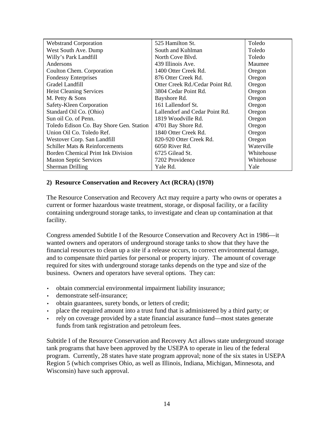| <b>Webstrand Corporation</b>             | 525 Hamilton St.                | Toledo     |
|------------------------------------------|---------------------------------|------------|
| West South Ave. Dump                     | South and Kuhlman               | Toledo     |
| Willy's Park Landfill                    | North Cove Blvd.                | Toledo     |
| Andersons                                | 439 Illinois Ave.               | Maumee     |
| Coulton Chem. Corporation                | 1400 Otter Creek Rd.            | Oregon     |
| <b>Fondessy Enterprises</b>              | 876 Otter Creek Rd.             | Oregon     |
| Gradel Landfill                          | Otter Creek Rd./Cedar Point Rd. | Oregon     |
| <b>Heist Cleaning Services</b>           | 3804 Cedar Point Rd.            | Oregon     |
| M. Petty & Sons                          | Bayshore Rd.                    | Oregon     |
| Safety-Kleen Corporation                 | 161 Lallendorf St.              | Oregon     |
| Standard Oil Co. (Ohio)                  | Lallendorf and Cedar Point Rd.  | Oregon     |
| Sun oil Co. of Penn.                     | 1819 Woodville Rd.              | Oregon     |
| Toledo Edison Co. Bay Shore Gen. Station | 4701 Bay Shore Rd.              | Oregon     |
| Union Oil Co. Toledo Ref.                | 1840 Otter Creek Rd.            | Oregon     |
| Westover Corp. San Landfill              | 820-920 Otter Creek Rd.         | Oregon     |
| Schiller Mats & Reinforcements           | 6050 River Rd.                  | Waterville |
| Borden Chemical Print Ink Division       | 6725 Gilead St.                 | Whitehouse |
| <b>Maston Septic Services</b>            | 7202 Providence                 | Whitehouse |
| <b>Sherman Drilling</b>                  | Yale Rd.                        | Yale       |

#### **2) Resource Conservation and Recovery Act (RCRA) (1970)**

The Resource Conservation and Recovery Act may require a party who owns or operates a current or former hazardous waste treatment, storage, or disposal facility, or a facility containing underground storage tanks, to investigate and clean up contamination at that facility.

Congress amended Subtitle I of the Resource Conservation and Recovery Act in 1986—it wanted owners and operators of underground storage tanks to show that they have the financial resources to clean up a site if a release occurs, to correct environmental damage, and to compensate third parties for personal or property injury. The amount of coverage required for sites with underground storage tanks depends on the type and size of the business. Owners and operators have several options. They can:

- obtain commercial environmental impairment liability insurance;
- demonstrate self-insurance:
- obtain guarantees, surety bonds, or letters of credit;
- place the required amount into a trust fund that is administered by a third party; or
- rely on coverage provided by a state financial assurance fund—most states generate funds from tank registration and petroleum fees.

Subtitle I of the Resource Conservation and Recovery Act allows state underground storage tank programs that have been approved by the USEPA to operate in lieu of the federal program. Currently, 28 states have state program approval; none of the six states in USEPA Region 5 (which comprises Ohio, as well as Illinois, Indiana, Michigan, Minnesota, and Wisconsin) have such approval.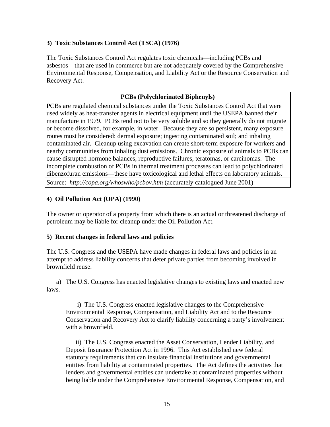#### **3) Toxic Substances Control Act (TSCA) (1976)**

The Toxic Substances Control Act regulates toxic chemicals—including PCBs and asbestos—that are used in commerce but are not adequately covered by the Comprehensive Environmental Response, Compensation, and Liability Act or the Resource Conservation and Recovery Act.

#### **PCBs (Polychlorinated Biphenyls)**

PCBs are regulated chemical substances under the Toxic Substances Control Act that were used widely as heat-transfer agents in electrical equipment until the USEPA banned their manufacture in 1979. PCBs tend not to be very soluble and so they generally do not migrate or become dissolved, for example, in water. Because they are so persistent, many exposure routes must be considered: dermal exposure; ingesting contaminated soil; and inhaling contaminated air. Cleanup using excavation can create short-term exposure for workers and nearby communities from inhaling dust emissions. Chronic exposure of animals to PCBs can cause disrupted hormone balances, reproductive failures, teratomas, or carcinomas. The incomplete combustion of PCBs in thermal treatment processes can lead to polychlorinated dibenzofuran emissions—these have toxicological and lethal effects on laboratory animals. Source: *http://copa.org/whoswho/pcbov.htm* (accurately catalogued June 2001)

#### **4) Oil Pollution Act (OPA) (1990)**

The owner or operator of a property from which there is an actual or threatened discharge of petroleum may be liable for cleanup under the Oil Pollution Act.

#### **5) Recent changes in federal laws and policies**

The U.S. Congress and the USEPA have made changes in federal laws and policies in an attempt to address liability concerns that deter private parties from becoming involved in brownfield reuse.

a) The U.S. Congress has enacted legislative changes to existing laws and enacted new laws.

i) The U.S. Congress enacted legislative changes to the Comprehensive Environmental Response, Compensation, and Liability Act and to the Resource Conservation and Recovery Act to clarify liability concerning a party's involvement with a brownfield.

ii) The U.S. Congress enacted the Asset Conservation, Lender Liability, and Deposit Insurance Protection Act in 1996. This Act established new federal statutory requirements that can insulate financial institutions and governmental entities from liability at contaminated properties. The Act defines the activities that lenders and governmental entities can undertake at contaminated properties without being liable under the Comprehensive Environmental Response, Compensation, and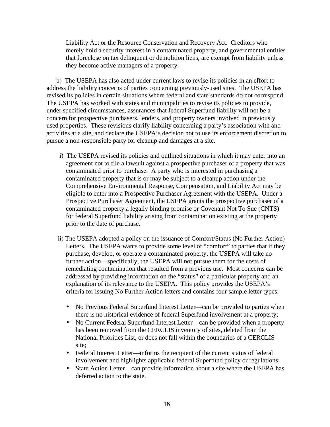Liability Act or the Resource Conservation and Recovery Act. Creditors who merely hold a security interest in a contaminated property, and governmental entities that foreclose on tax delinquent or demolition liens, are exempt from liability unless they become active managers of a property.

b) The USEPA has also acted under current laws to revise its policies in an effort to address the liability concerns of parties concerning previously-used sites. The USEPA has revised its policies in certain situations where federal and state standards do not correspond. The USEPA has worked with states and municipalities to revise its policies to provide, under specified circumstances, assurances that federal Superfund liability will not be a concern for prospective purchasers, lenders, and property owners involved in previously used properties. These revisions clarify liability concerning a party's association with and activities at a site, and declare the USEPA's decision not to use its enforcement discretion to pursue a non-responsible party for cleanup and damages at a site.

- i) The USEPA revised its policies and outlined situations in which it may enter into an agreement not to file a lawsuit against a prospective purchaser of a property that was contaminated prior to purchase. A party who is interested in purchasing a contaminated property that is or may be subject to a cleanup action under the Comprehensive Environmental Response, Compensation, and Liability Act may be eligible to enter into a Prospective Purchaser Agreement with the USEPA. Under a Prospective Purchaser Agreement, the USEPA grants the prospective purchaser of a contaminated property a legally binding promise or Covenant Not To Sue (CNTS) for federal Superfund liability arising from contamination existing at the property prior to the date of purchase.
- ii) The USEPA adopted a policy on the issuance of Comfort/Status (No Further Action) Letters. The USEPA wants to provide some level of "comfort" to parties that if they purchase, develop, or operate a contaminated property, the USEPA will take no further action—specifically, the USEPA will not pursue them for the costs of remediating contamination that resulted from a previous use. Most concerns can be addressed by providing information on the "status" of a particular property and an explanation of its relevance to the USEPA. This policy provides the USEPA's criteria for issuing No Further Action letters and contains four sample letter types:
	- No Previous Federal Superfund Interest Letter—can be provided to parties when there is no historical evidence of federal Superfund involvement at a property;
	- No Current Federal Superfund Interest Letter—can be provided when a property has been removed from the CERCLIS inventory of sites, deleted from the National Priorities List, or does not fall within the boundaries of a CERCLIS site;
	- Federal Interest Letter—informs the recipient of the current status of federal involvement and highlights applicable federal Superfund policy or regulations;
	- State Action Letter—can provide information about a site where the USEPA has deferred action to the state.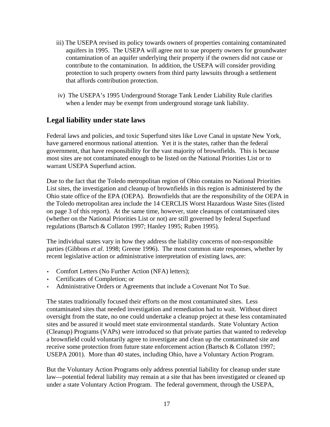- iii) The USEPA revised its policy towards owners of properties containing contaminated aquifers in 1995. The USEPA will agree not to sue property owners for groundwater contamination of an aquifer underlying their property if the owners did not cause or contribute to the contamination. In addition, the USEPA will consider providing protection to such property owners from third party lawsuits through a settlement that affords contribution protection.
- iv) The USEPA's 1995 Underground Storage Tank Lender Liability Rule clarifies when a lender may be exempt from underground storage tank liability.

### **Legal liability under state laws**

Federal laws and policies, and toxic Superfund sites like Love Canal in upstate New York, have garnered enormous national attention. Yet it is the states, rather than the federal government, that have responsibility for the vast majority of brownfields. This is because most sites are not contaminated enough to be listed on the National Priorities List or to warrant USEPA Superfund action.

Due to the fact that the Toledo metropolitan region of Ohio contains no National Priorities List sites, the investigation and cleanup of brownfields in this region is administered by the Ohio state office of the EPA (OEPA). Brownfields that are the responsibility of the OEPA in the Toledo metropolitan area include the 14 CERCLIS Worst Hazardous Waste Sites (listed on page 3 of this report). At the same time, however, state cleanups of contaminated sites (whether on the National Priorities List or not) are still governed by federal Superfund regulations (Bartsch & Collaton 1997; Hanley 1995; Ruben 1995).

The individual states vary in how they address the liability concerns of non-responsible parties (Gibbons *et al*. 1998; Greene 1996). The most common state responses, whether by recent legislative action or administrative interpretation of existing laws, are:

- Comfort Letters (No Further Action (NFA) letters);
- Certificates of Completion; or
- Administrative Orders or Agreements that include a Covenant Not To Sue.

The states traditionally focused their efforts on the most contaminated sites. Less contaminated sites that needed investigation and remediation had to wait. Without direct oversight from the state, no one could undertake a cleanup project at these less contaminated sites and be assured it would meet state environmental standards. State Voluntary Action (Cleanup) Programs (VAPs) were introduced so that private parties that wanted to redevelop a brownfield could voluntarily agree to investigate and clean up the contaminated site and receive some protection from future state enforcement action (Bartsch & Collaton 1997; USEPA 2001). More than 40 states, including Ohio, have a Voluntary Action Program.

But the Voluntary Action Programs only address potential liability for cleanup under state law—potential federal liability may remain at a site that has been investigated or cleaned up under a state Voluntary Action Program. The federal government, through the USEPA,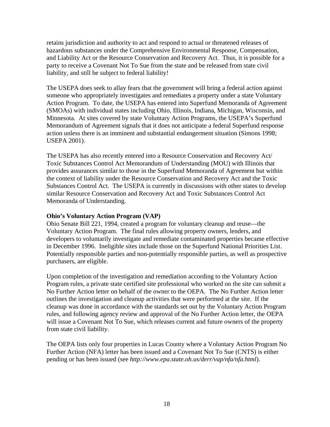retains jurisdiction and authority to act and respond to actual or threatened releases of hazardous substances under the Comprehensive Environmental Response, Compensation, and Liability Act or the Resource Conservation and Recovery Act. Thus, it is possible for a party to receive a Covenant Not To Sue from the state and be released from state civil liability, and still be subject to federal liability!

The USEPA does seek to allay fears that the government will bring a federal action against someone who appropriately investigates and remediates a property under a state Voluntary Action Program. To date, the USEPA has entered into Superfund Memoranda of Agreement (SMOAs) with individual states including Ohio, Illinois, Indiana, Michigan, Wisconsin, and Minnesota. At sites covered by state Voluntary Action Programs, the USEPA's Superfund Memorandum of Agreement signals that it does not anticipate a federal Superfund response action unless there is an imminent and substantial endangerment situation (Simons 1998; USEPA 2001).

The USEPA has also recently entered into a Resource Conservation and Recovery Act/ Toxic Substances Control Act Memorandum of Understanding (MOU) with Illinois that provides assurances similar to those in the Superfund Memoranda of Agreement but within the context of liability under the Resource Conservation and Recovery Act and the Toxic Substances Control Act. The USEPA is currently in discussions with other states to develop similar Resource Conservation and Recovery Act and Toxic Substances Control Act Memoranda of Understanding.

#### **Ohio's Voluntary Action Program (VAP)**

Ohio Senate Bill 221, 1994, created a program for voluntary cleanup and reuse—the Voluntary Action Program. The final rules allowing property owners, lenders, and developers to voluntarily investigate and remediate contaminated properties became effective in December 1996. Ineligible sites include those on the Superfund National Priorities List. Potentially responsible parties and non-potentially responsible parties, as well as prospective purchasers, are eligible.

Upon completion of the investigation and remediation according to the Voluntary Action Program rules, a private state certified site professional who worked on the site can submit a No Further Action letter on behalf of the owner to the OEPA. The No Further Action letter outlines the investigation and cleanup activities that were performed at the site. If the cleanup was done in accordance with the standards set out by the Voluntary Action Program rules, and following agency review and approval of the No Further Action letter, the OEPA will issue a Covenant Not To Sue, which releases current and future owners of the property from state civil liability.

The OEPA lists only four properties in Lucas County where a Voluntary Action Program No Further Action (NFA) letter has been issued and a Covenant Not To Sue (CNTS) is either pending or has been issued (see *http://www.epa.state.oh.us/derr/vap/nfa/nfa.html*).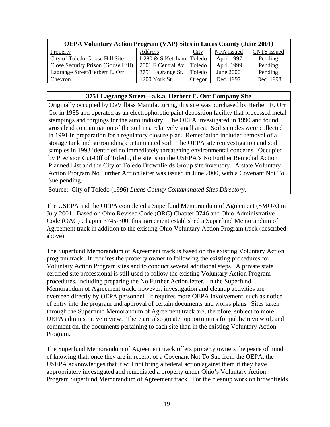| <b>OEPA Voluntary Action Program (VAP) Sites in Lucas County (June 2001)</b> |                          |        |            |                    |
|------------------------------------------------------------------------------|--------------------------|--------|------------|--------------------|
| Property                                                                     | Address                  | City   | NFA issued | <b>CNTS</b> issued |
| City of Toledo-Goose Hill Site                                               | I-280 & S Ketcham Toledo |        | April 1997 | Pending            |
| Close Security Prison (Goose Hill)                                           | 2001 E Central Av        | Toledo | April 1999 | Pending            |
| Lagrange Street/Herbert E. Orr                                               | 3751 Lagrange St.        | Toledo | June 2000  | Pending            |
| Chevron                                                                      | 1200 York St.            | Oregon | Dec. 1997  | Dec. 1998          |

#### **3751 Lagrange Street—a.k.a. Herbert E. Orr Company Site**

Originally occupied by DeVilbiss Manufacturing, this site was purchased by Herbert E. Orr Co. in 1985 and operated as an electrophoretic paint deposition facility that processed metal stampings and forgings for the auto industry. The OEPA investigated in 1990 and found gross lead contamination of the soil in a relatively small area. Soil samples were collected in 1991 in preparation for a regulatory closure plan. Remediation included removal of a storage tank and surrounding contaminated soil. The OEPA site reinvestigation and soil samples in 1993 identified no immediately threatening environmental concerns. Occupied by Precision Cut-Off of Toledo, the site is on the USEPA's No Further Remedial Action Planned List and the City of Toledo Brownfields Group site inventory. A state Voluntary Action Program No Further Action letter was issued in June 2000, with a Covenant Not To Sue pending.

Source: City of Toledo (1996) *Lucas County Contaminated Sites Directory*.

The USEPA and the OEPA completed a Superfund Memorandum of Agreement (SMOA) in July 2001. Based on Ohio Revised Code (ORC) Chapter 3746 and Ohio Administrative Code (OAC) Chapter 3745-300, this agreement established a Superfund Memorandum of Agreement track in addition to the existing Ohio Voluntary Action Program track (described above).

The Superfund Memorandum of Agreement track is based on the existing Voluntary Action program track. It requires the property owner to following the existing procedures for Voluntary Action Program sites and to conduct several additional steps. A private state certified site professional is still used to follow the existing Voluntary Action Program procedures, including preparing the No Further Action letter. In the Superfund Memorandum of Agreement track, however, investigation and cleanup activities are overseen directly by OEPA personnel. It requires more OEPA involvement, such as notice of entry into the program and approval of certain documents and works plans. Sites taken through the Superfund Memorandum of Agreement track are, therefore, subject to more OEPA administrative review. There are also greater opportunities for public review of, and comment on, the documents pertaining to each site than in the existing Voluntary Action Program.

The Superfund Memorandum of Agreement track offers property owners the peace of mind of knowing that, once they are in receipt of a Covenant Not To Sue from the OEPA, the USEPA acknowledges that it will not bring a federal action against them if they have appropriately investigated and remediated a property under Ohio's Voluntary Action Program Superfund Memorandum of Agreement track. For the cleanup work on brownfields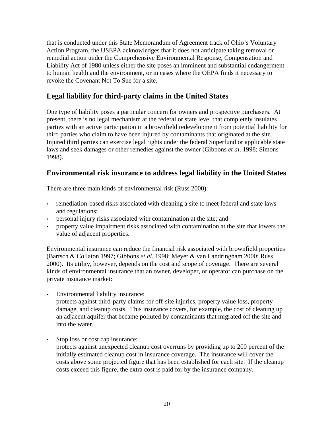that is conducted under this State Memorandum of Agreement track of Ohio's Voluntary Action Program, the USEPA acknowledges that it does not anticipate taking removal or remedial action under the Comprehensive Environmental Response, Compensation and Liability Act of 1980 unless either the site poses an imminent and substantial endangerment to human health and the environment, or in cases where the OEPA finds it necessary to revoke the Covenant Not To Sue for a site.

## **Legal liability for third-party claims in the United States**

One type of liability poses a particular concern for owners and prospective purchasers. At present, there is no legal mechanism at the federal or state level that completely insulates parties with an active participation in a brownfield redevelopment from potential liability for third parties who claim to have been injured by contaminants that originated at the site. Injured third parties can exercise legal rights under the federal Superfund or applicable state laws and seek damages or other remedies against the owner (Gibbons *et al*. 1998; Simons 1998).

# **Environmental risk insurance to address legal liability in the United States**

There are three main kinds of environmental risk (Russ 2000):

- remediation-based risks associated with cleaning a site to meet federal and state laws and regulations;
- personal injury risks associated with contamination at the site; and
- property value impairment risks associated with contamination at the site that lowers the value of adjacent properties.

Environmental insurance can reduce the financial risk associated with brownfield properties (Bartsch & Collaton 1997; Gibbons *et al*. 1998; Meyer & van Landringham 2000; Russ 2000). Its utility, however, depends on the cost and scope of coverage. There are several kinds of environmental insurance that an owner, developer, or operator can purchase on the private insurance market:

- Environmental liability insurance: protects against third-party claims for off-site injuries, property value loss, property damage, and cleanup costs. This insurance covers, for example, the cost of cleaning up an adjacent aquifer that became polluted by contaminants that migrated off the site and into the water.
- Stop loss or cost cap insurance: protects against unexpected cleanup cost overruns by providing up to 200 percent of the initially estimated cleanup cost in insurance coverage. The insurance will cover the costs above some projected figure that has been established for each site. If the cleanup costs exceed this figure, the extra cost is paid for by the insurance company.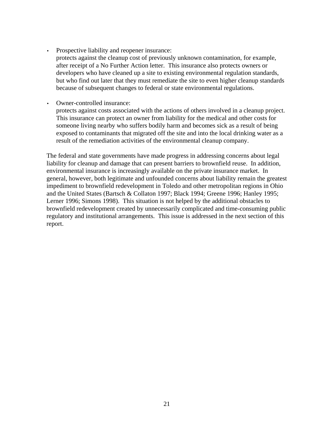• Prospective liability and reopener insurance:

protects against the cleanup cost of previously unknown contamination, for example, after receipt of a No Further Action letter. This insurance also protects owners or developers who have cleaned up a site to existing environmental regulation standards, but who find out later that they must remediate the site to even higher cleanup standards because of subsequent changes to federal or state environmental regulations.

• Owner-controlled insurance:

protects against costs associated with the actions of others involved in a cleanup project. This insurance can protect an owner from liability for the medical and other costs for someone living nearby who suffers bodily harm and becomes sick as a result of being exposed to contaminants that migrated off the site and into the local drinking water as a result of the remediation activities of the environmental cleanup company.

The federal and state governments have made progress in addressing concerns about legal liability for cleanup and damage that can present barriers to brownfield reuse. In addition, environmental insurance is increasingly available on the private insurance market. In general, however, both legitimate and unfounded concerns about liability remain the greatest impediment to brownfield redevelopment in Toledo and other metropolitan regions in Ohio and the United States (Bartsch & Collaton 1997; Black 1994; Greene 1996; Hanley 1995; Lerner 1996; Simons 1998). This situation is not helped by the additional obstacles to brownfield redevelopment created by unnecessarily complicated and time-consuming public regulatory and institutional arrangements. This issue is addressed in the next section of this report.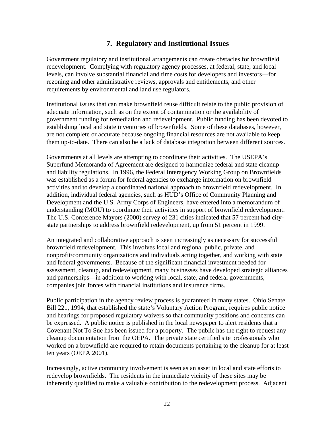### **7. Regulatory and Institutional Issues**

Government regulatory and institutional arrangements can create obstacles for brownfield redevelopment. Complying with regulatory agency processes, at federal, state, and local levels, can involve substantial financial and time costs for developers and investors—for rezoning and other administrative reviews, approvals and entitlements, and other requirements by environmental and land use regulators.

Institutional issues that can make brownfield reuse difficult relate to the public provision of adequate information, such as on the extent of contamination or the availability of government funding for remediation and redevelopment. Public funding has been devoted to establishing local and state inventories of brownfields. Some of these databases, however, are not complete or accurate because ongoing financial resources are not available to keep them up-to-date. There can also be a lack of database integration between different sources.

Governments at all levels are attempting to coordinate their activities. The USEPA's Superfund Memoranda of Agreement are designed to harmonize federal and state cleanup and liability regulations. In 1996, the Federal Interagency Working Group on Brownfields was established as a forum for federal agencies to exchange information on brownfield activities and to develop a coordinated national approach to brownfield redevelopment. In addition, individual federal agencies, such as HUD's Office of Community Planning and Development and the U.S. Army Corps of Engineers, have entered into a memorandum of understanding (MOU) to coordinate their activities in support of brownfield redevelopment. The U.S. Conference Mayors (2000) survey of 231 cities indicated that 57 percent had citystate partnerships to address brownfield redevelopment, up from 51 percent in 1999.

An integrated and collaborative approach is seen increasingly as necessary for successful brownfield redevelopment. This involves local and regional public, private, and nonprofit/community organizations and individuals acting together, and working with state and federal governments. Because of the significant financial investment needed for assessment, cleanup, and redevelopment, many businesses have developed strategic alliances and partnerships—in addition to working with local, state, and federal governments, companies join forces with financial institutions and insurance firms.

Public participation in the agency review process is guaranteed in many states. Ohio Senate Bill 221, 1994, that established the state's Voluntary Action Program, requires public notice and hearings for proposed regulatory waivers so that community positions and concerns can be expressed. A public notice is published in the local newspaper to alert residents that a Covenant Not To Sue has been issued for a property. The public has the right to request any cleanup documentation from the OEPA. The private state certified site professionals who worked on a brownfield are required to retain documents pertaining to the cleanup for at least ten years (OEPA 2001).

Increasingly, active community involvement is seen as an asset in local and state efforts to redevelop brownfields. The residents in the immediate vicinity of these sites may be inherently qualified to make a valuable contribution to the redevelopment process. Adjacent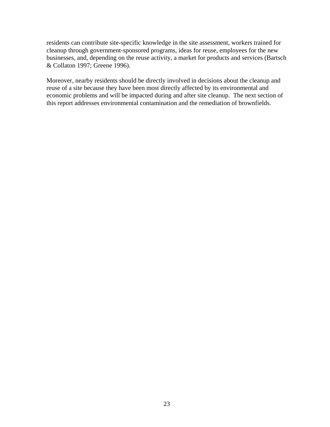residents can contribute site-specific knowledge in the site assessment, workers trained for cleanup through government-sponsored programs, ideas for reuse, employees for the new businesses, and, depending on the reuse activity, a market for products and services (Bartsch & Collaton 1997; Greene 1996).

Moreover, nearby residents should be directly involved in decisions about the cleanup and reuse of a site because they have been most directly affected by its environmental and economic problems and will be impacted during and after site cleanup. The next section of this report addresses environmental contamination and the remediation of brownfields.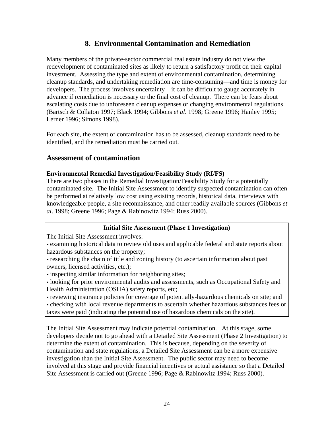### **8. Environmental Contamination and Remediation**

Many members of the private-sector commercial real estate industry do not view the redevelopment of contaminated sites as likely to return a satisfactory profit on their capital investment. Assessing the type and extent of environmental contamination, determining cleanup standards, and undertaking remediation are time-consuming—and time is money for developers. The process involves uncertainty—it can be difficult to gauge accurately in advance if remediation is necessary or the final cost of cleanup. There can be fears about escalating costs due to unforeseen cleanup expenses or changing environmental regulations (Bartsch & Collaton 1997; Black 1994; Gibbons *et al*. 1998; Greene 1996; Hanley 1995; Lerner 1996; Simons 1998).

For each site, the extent of contamination has to be assessed, cleanup standards need to be identified, and the remediation must be carried out.

### **Assessment of contamination**

#### **Environmental Remedial Investigation/Feasibility Study (RI/FS)**

There are two phases in the Remedial Investigation/Feasibility Study for a potentially contaminated site. The Initial Site Assessment to identify suspected contamination can often be performed at relatively low cost using existing records, historical data, interviews with knowledgeable people, a site reconnaissance, and other readily available sources (Gibbons *et al*. 1998; Greene 1996; Page & Rabinowitz 1994; Russ 2000).

#### **Initial Site Assessment (Phase 1 Investigation)**

The Initial Site Assessment involves:

• examining historical data to review old uses and applicable federal and state reports about hazardous substances on the property;

• researching the chain of title and zoning history (to ascertain information about past owners, licensed activities, etc.);

• inspecting similar information for neighboring sites;

• looking for prior environmental audits and assessments, such as Occupational Safety and Health Administration (OSHA) safety reports, etc;

• reviewing insurance policies for coverage of potentially-hazardous chemicals on site; and • checking with local revenue departments to ascertain whether hazardous substances fees or

taxes were paid (indicating the potential use of hazardous chemicals on the site).

The Initial Site Assessment may indicate potential contamination. At this stage, some developers decide not to go ahead with a Detailed Site Assessment (Phase 2 Investigation) to determine the extent of contamination. This is because, depending on the severity of contamination and state regulations, a Detailed Site Assessment can be a more expensive investigation than the Initial Site Assessment. The public sector may need to become involved at this stage and provide financial incentives or actual assistance so that a Detailed Site Assessment is carried out (Greene 1996; Page & Rabinowitz 1994; Russ 2000).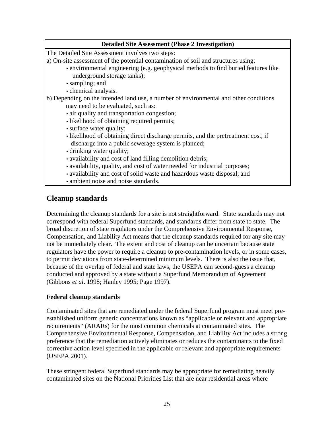#### **Detailed Site Assessment (Phase 2 Investigation)**

The Detailed Site Assessment involves two steps:

a) On-site assessment of the potential contamination of soil and structures using:

- environmental engineering (e.g. geophysical methods to find buried features like underground storage tanks);
- sampling; and
- chemical analysis.

b) Depending on the intended land use, a number of environmental and other conditions

may need to be evaluated, such as:

- air quality and transportation congestion;
- likelihood of obtaining required permits;
- surface water quality;
- likelihood of obtaining direct discharge permits, and the pretreatment cost, if discharge into a public sewerage system is planned;
- drinking water quality;
- availability and cost of land filling demolition debris;
- availability, quality, and cost of water needed for industrial purposes;
- availability and cost of solid waste and hazardous waste disposal; and
- ambient noise and noise standards.

### **Cleanup standards**

Determining the cleanup standards for a site is not straightforward. State standards may not correspond with federal Superfund standards, and standards differ from state to state. The broad discretion of state regulators under the Comprehensive Environmental Response, Compensation, and Liability Act means that the cleanup standards required for any site may not be immediately clear. The extent and cost of cleanup can be uncertain because state regulators have the power to require a cleanup to pre-contamination levels, or in some cases, to permit deviations from state-determined minimum levels. There is also the issue that, because of the overlap of federal and state laws, the USEPA can second-guess a cleanup conducted and approved by a state without a Superfund Memorandum of Agreement (Gibbons *et al*. 1998; Hanley 1995; Page 1997).

#### **Federal cleanup standards**

Contaminated sites that are remediated under the federal Superfund program must meet preestablished uniform generic concentrations known as "applicable or relevant and appropriate requirements" (ARARs) for the most common chemicals at contaminated sites. The Comprehensive Environmental Response, Compensation, and Liability Act includes a strong preference that the remediation actively eliminates or reduces the contaminants to the fixed corrective action level specified in the applicable or relevant and appropriate requirements (USEPA 2001).

These stringent federal Superfund standards may be appropriate for remediating heavily contaminated sites on the National Priorities List that are near residential areas where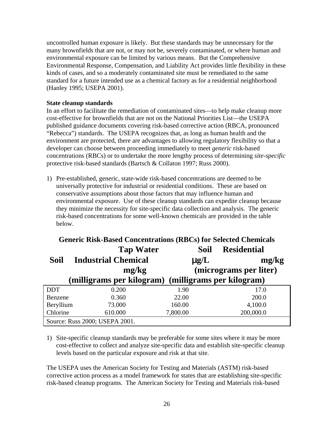uncontrolled human exposure is likely. But these standards may be unnecessary for the many brownfields that are not, or may not be, severely contaminated, or where human and environmental exposure can be limited by various means. But the Comprehensive Environmental Response, Compensation, and Liability Act provides little flexibility in these kinds of cases, and so a moderately contaminated site must be remediated to the same standard for a future intended use as a chemical factory as for a residential neighborhood (Hanley 1995; USEPA 2001).

#### **State cleanup standards**

In an effort to facilitate the remediation of contaminated sites—to help make cleanup more cost-effective for brownfields that are not on the National Priorities List—the USEPA published guidance documents covering risk-based corrective action (RBCA, pronounced "Rebecca") standards. The USEPA recognizes that, as long as human health and the environment are protected, there are advantages to allowing regulatory flexibility so that a developer can choose between proceeding immediately to meet *generic* risk-based concentrations (RBCs) or to undertake the more lengthy process of determining *site-specific* protective risk-based standards (Bartsch & Collaton 1997; Russ 2000).

1) Pre-established, generic, state-wide risk-based concentrations are deemed to be universally protective for industrial or residential conditions. These are based on conservative assumptions about those factors that may influence human and environmental exposure. Use of these cleanup standards can expedite cleanup because they minimize the necessity for site-specific data collection and analysis. The generic risk-based concentrations for some well-known chemicals are provided in the table below.

| <b>Generic Risk-Based Concentrations (RBCs) for Selected Chemicals</b> |                                |                                                     |                        |           |  |
|------------------------------------------------------------------------|--------------------------------|-----------------------------------------------------|------------------------|-----------|--|
| <b>Tap Water</b>                                                       |                                |                                                     | Soil-Residential       |           |  |
| <b>Soil—Industrial Chemical</b>                                        |                                |                                                     | $\mu$ g/L              | mg/kg     |  |
|                                                                        |                                | mg/kg                                               | (micrograms per liter) |           |  |
|                                                                        |                                | (milligrams per kilogram) (milligrams per kilogram) |                        |           |  |
| <b>DDT</b>                                                             | 0.200                          | 1.90                                                |                        | 17.0      |  |
| Benzene                                                                | 0.360                          | 22.00                                               |                        | 200.0     |  |
| Beryllium                                                              | 73.000                         | 160.00                                              |                        | 4,100.0   |  |
| Chlorine                                                               | 610.000                        | 7,800.00                                            |                        | 200,000.0 |  |
|                                                                        | Source: Russ 2000; USEPA 2001. |                                                     |                        |           |  |

1) Site-specific cleanup standards may be preferable for some sites where it may be more cost-effective to collect and analyze site-specific data and establish site-specific cleanup levels based on the particular exposure and risk at that site.

The USEPA uses the American Society for Testing and Materials (ASTM) risk-based corrective action process as a model framework for states that are establishing site-specific risk-based cleanup programs. The American Society for Testing and Materials risk-based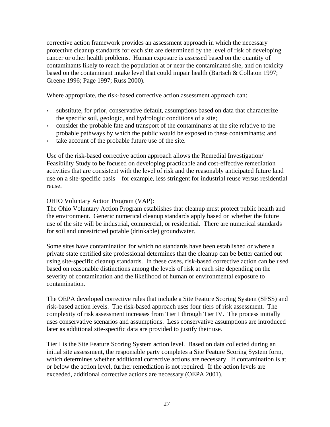corrective action framework provides an assessment approach in which the necessary protective cleanup standards for each site are determined by the level of risk of developing cancer or other health problems. Human exposure is assessed based on the quantity of contaminants likely to reach the population at or near the contaminated site, and on toxicity based on the contaminant intake level that could impair health (Bartsch & Collaton 1997; Greene 1996; Page 1997; Russ 2000).

Where appropriate, the risk-based corrective action assessment approach can:

- substitute, for prior, conservative default, assumptions based on data that characterize the specific soil, geologic, and hydrologic conditions of a site;
- consider the probable fate and transport of the contaminants at the site relative to the probable pathways by which the public would be exposed to these contaminants; and
- take account of the probable future use of the site.

Use of the risk-based corrective action approach allows the Remedial Investigation/ Feasibility Study to be focused on developing practicable and cost-effective remediation activities that are consistent with the level of risk and the reasonably anticipated future land use on a site-specific basis—for example, less stringent for industrial reuse versus residential reuse.

#### OHIO Voluntary Action Program (VAP):

The Ohio Voluntary Action Program establishes that cleanup must protect public health and the environment. Generic numerical cleanup standards apply based on whether the future use of the site will be industrial, commercial, or residential. There are numerical standards for soil and unrestricted potable (drinkable) groundwater.

Some sites have contamination for which no standards have been established or where a private state certified site professional determines that the cleanup can be better carried out using site-specific cleanup standards. In these cases, risk-based corrective action can be used based on reasonable distinctions among the levels of risk at each site depending on the severity of contamination and the likelihood of human or environmental exposure to contamination.

The OEPA developed corrective rules that include a Site Feature Scoring System (SFSS) and risk-based action levels. The risk-based approach uses four tiers of risk assessment. The complexity of risk assessment increases from Tier I through Tier IV. The process initially uses conservative scenarios and assumptions. Less conservative assumptions are introduced later as additional site-specific data are provided to justify their use.

Tier I is the Site Feature Scoring System action level. Based on data collected during an initial site assessment, the responsible party completes a Site Feature Scoring System form, which determines whether additional corrective actions are necessary. If contamination is at or below the action level, further remediation is not required. If the action levels are exceeded, additional corrective actions are necessary (OEPA 2001).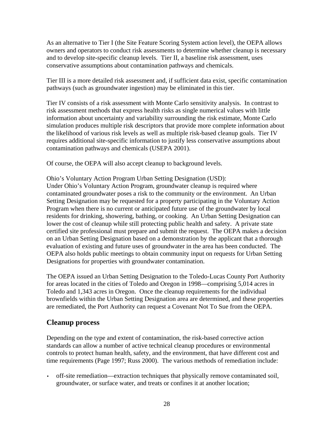As an alternative to Tier I (the Site Feature Scoring System action level), the OEPA allows owners and operators to conduct risk assessments to determine whether cleanup is necessary and to develop site-specific cleanup levels. Tier II, a baseline risk assessment, uses conservative assumptions about contamination pathways and chemicals.

Tier III is a more detailed risk assessment and, if sufficient data exist, specific contamination pathways (such as groundwater ingestion) may be eliminated in this tier.

Tier IV consists of a risk assessment with Monte Carlo sensitivity analysis. In contrast to risk assessment methods that express health risks as single numerical values with little information about uncertainty and variability surrounding the risk estimate, Monte Carlo simulation produces multiple risk descriptors that provide more complete information about the likelihood of various risk levels as well as multiple risk-based cleanup goals. Tier IV requires additional site-specific information to justify less conservative assumptions about contamination pathways and chemicals (USEPA 2001).

Of course, the OEPA will also accept cleanup to background levels.

Ohio's Voluntary Action Program Urban Setting Designation (USD):

Under Ohio's Voluntary Action Program, groundwater cleanup is required where contaminated groundwater poses a risk to the community or the environment. An Urban Setting Designation may be requested for a property participating in the Voluntary Action Program when there is no current or anticipated future use of the groundwater by local residents for drinking, showering, bathing, or cooking. An Urban Setting Designation can lower the cost of cleanup while still protecting public health and safety. A private state certified site professional must prepare and submit the request. The OEPA makes a decision on an Urban Setting Designation based on a demonstration by the applicant that a thorough evaluation of existing and future uses of groundwater in the area has been conducted. The OEPA also holds public meetings to obtain community input on requests for Urban Setting Designations for properties with groundwater contamination.

The OEPA issued an Urban Setting Designation to the Toledo-Lucas County Port Authority for areas located in the cities of Toledo and Oregon in 1998—comprising 5,014 acres in Toledo and 1,343 acres in Oregon. Once the cleanup requirements for the individual brownfields within the Urban Setting Designation area are determined, and these properties are remediated, the Port Authority can request a Covenant Not To Sue from the OEPA.

### **Cleanup process**

Depending on the type and extent of contamination, the risk-based corrective action standards can allow a number of active technical cleanup procedures or environmental controls to protect human health, safety, and the environment, that have different cost and time requirements (Page 1997; Russ 2000). The various methods of remediation include:

• off-site remediation—extraction techniques that physically remove contaminated soil, groundwater, or surface water, and treats or confines it at another location;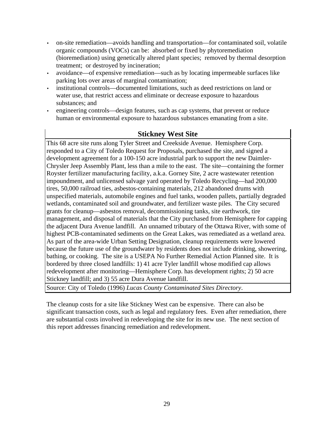- on-site remediation—avoids handling and transportation—for contaminated soil, volatile organic compounds (VOCs) can be: absorbed or fixed by phytoremediation (bioremediation) using genetically altered plant species; removed by thermal desorption treatment; or destroyed by incineration;
- avoidance—of expensive remediation—such as by locating impermeable surfaces like parking lots over areas of marginal contamination;
- institutional controls—documented limitations, such as deed restrictions on land or water use, that restrict access and eliminate or decrease exposure to hazardous substances; and
- engineering controls—design features, such as cap systems, that prevent or reduce human or environmental exposure to hazardous substances emanating from a site.

### **Stickney West Site**

This 68 acre site runs along Tyler Street and Creekside Avenue. Hemisphere Corp. responded to a City of Toledo Request for Proposals, purchased the site, and signed a development agreement for a 100-150 acre industrial park to support the new Daimler-Chrysler Jeep Assembly Plant, less than a mile to the east. The site—containing the former Royster fertilizer manufacturing facility, a.k.a. Gorney Site, 2 acre wastewater retention impoundment, and unlicensed salvage yard operated by Toledo Recycling—had 200,000 tires, 50,000 railroad ties, asbestos-containing materials, 212 abandoned drums with unspecified materials, automobile engines and fuel tanks, wooden pallets, partially degraded wetlands, contaminated soil and groundwater, and fertilizer waste piles. The City secured grants for cleanup—asbestos removal, decommissioning tanks, site earthwork, tire management, and disposal of materials that the City purchased from Hemisphere for capping the adjacent Dura Avenue landfill. An unnamed tributary of the Ottawa River, with some of highest PCB-contaminated sediments on the Great Lakes, was remediated as a wetland area. As part of the area-wide Urban Setting Designation, cleanup requirements were lowered because the future use of the groundwater by residents does not include drinking, showering, bathing, or cooking. The site is a USEPA No Further Remedial Action Planned site. It is bordered by three closed landfills: 1) 41 acre Tyler landfill whose modified cap allows redevelopment after monitoring—Hemisphere Corp. has development rights; 2) 50 acre Stickney landfill; and 3) 55 acre Dura Avenue landfill.

Source: City of Toledo (1996) *Lucas County Contaminated Sites Directory*.

The cleanup costs for a site like Stickney West can be expensive. There can also be significant transaction costs, such as legal and regulatory fees. Even after remediation, there are substantial costs involved in redeveloping the site for its new use. The next section of this report addresses financing remediation and redevelopment.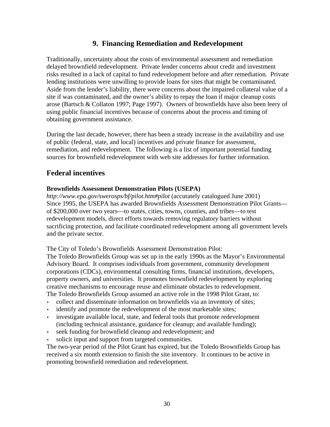### **9. Financing Remediation and Redevelopment**

Traditionally, uncertainty about the costs of environmental assessment and remediation delayed brownfield redevelopment. Private lender concerns about credit and investment risks resulted in a lack of capital to fund redevelopment before and after remediation. Private lending institutions were unwilling to provide loans for sites that might be contaminated. Aside from the lender's liability, there were concerns about the impaired collateral value of a site if was contaminated, and the owner's ability to repay the loan if major cleanup costs arose (Bartsch & Collaton 1997; Page 1997). Owners of brownfields have also been leery of using public financial incentives because of concerns about the process and timing of obtaining government assistance.

During the last decade, however, there has been a steady increase in the availability and use of public (federal, state, and local) incentives and private finance for assessment, remediation, and redevelopment. The following is a list of important potential funding sources for brownfield redevelopment with web site addresses for further information.

### **Federal incentives**

#### **Brownfields Assessment Demonstration Pilots (USEPA)**

*http://www.epa.gov/swerosps/bf/pilot.htm#pilot* (accurately catalogued June 2001) Since 1995, the USEPA has awarded Brownfields Assessment Demonstration Pilot Grants of \$200,000 over two years—to states, cities, towns, counties, and tribes—to test redevelopment models, direct efforts towards removing regulatory barriers without sacrificing protection, and facilitate coordinated redevelopment among all government levels and the private sector.

The City of Toledo's Brownfields Assessment Demonstration Pilot:

The Toledo Brownfields Group was set up in the early 1990s as the Mayor's Environmental Advisory Board. It comprises individuals from government, community development corporations (CDCs), environmental consulting firms, financial institutions, developers, property owners, and universities. It promotes brownfield redevelopment by exploring creative mechanisms to encourage reuse and eliminate obstacles to redevelopment. The Toledo Brownfields Group assumed an active role in the 1998 Pilot Grant, to:

- collect and disseminate information on brownfields via an inventory of sites;
- identify and promote the redevelopment of the most marketable sites;
- investigate available local, state, and federal tools that promote redevelopment (including technical assistance, guidance for cleanup; and available funding);
- seek funding for brownfield cleanup and redevelopment; and
- solicit input and support from targeted communities.

The two-year period of the Pilot Grant has expired, but the Toledo Brownfields Group has received a six month extension to finish the site inventory. It continues to be active in promoting brownfield remediation and redevelopment.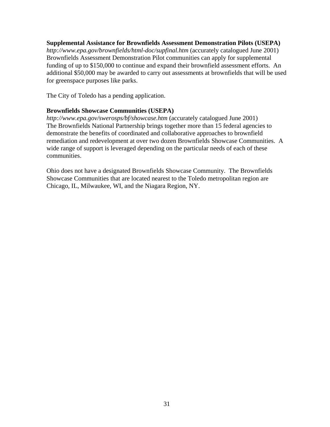#### **Supplemental Assistance for Brownfields Assessment Demonstration Pilots (USEPA)**

*http://www.epa.gov/brownfields/html-doc/supfinal.htm* (accurately catalogued June 2001) Brownfields Assessment Demonstration Pilot communities can apply for supplemental funding of up to \$150,000 to continue and expand their brownfield assessment efforts. An additional \$50,000 may be awarded to carry out assessments at brownfields that will be used for greenspace purposes like parks.

The City of Toledo has a pending application.

#### **Brownfields Showcase Communities (USEPA)**

*http://www.epa.gov/swerosps/bf/showcase.htm* (accurately catalogued June 2001) The Brownfields National Partnership brings together more than 15 federal agencies to demonstrate the benefits of coordinated and collaborative approaches to brownfield remediation and redevelopment at over two dozen Brownfields Showcase Communities. A wide range of support is leveraged depending on the particular needs of each of these communities.

Ohio does not have a designated Brownfields Showcase Community. The Brownfields Showcase Communities that are located nearest to the Toledo metropolitan region are Chicago, IL, Milwaukee, WI, and the Niagara Region, NY.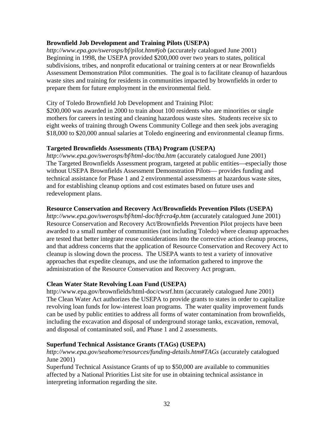#### **Brownfield Job Development and Training Pilots (USEPA)**

*http://www.epa.gov/swerosps/bf/pilot.htm#job* (accurately catalogued June 2001) Beginning in 1998, the USEPA provided \$200,000 over two years to states, political subdivisions, tribes, and nonprofit educational or training centers at or near Brownfields Assessment Demonstration Pilot communities. The goal is to facilitate cleanup of hazardous waste sites and training for residents in communities impacted by brownfields in order to prepare them for future employment in the environmental field.

City of Toledo Brownfield Job Development and Training Pilot:

\$200,000 was awarded in 2000 to train about 100 residents who are minorities or single mothers for careers in testing and cleaning hazardous waste sites. Students receive six to eight weeks of training through Owens Community College and then seek jobs averaging \$18,000 to \$20,000 annual salaries at Toledo engineering and environmental cleanup firms.

#### **Targeted Brownfields Assessments (TBA) Program (USEPA)**

*http://www.epa.gov/swerosps/bf/html-doc/tba.htm* (accurately catalogued June 2001) The Targeted Brownfields Assessment program, targeted at public entities—especially those without USEPA Brownfields Assessment Demonstration Pilots— provides funding and technical assistance for Phase 1 and 2 environmental assessments at hazardous waste sites, and for establishing cleanup options and cost estimates based on future uses and redevelopment plans.

#### **Resource Conservation and Recovery Act/Brownfields Prevention Pilots (USEPA)**

*http://www.epa.gov/swerosps/bf/html-doc/bfrcra4p.htm* (accurately catalogued June 2001) Resource Conservation and Recovery Act/Brownfields Prevention Pilot projects have been awarded to a small number of communities (not including Toledo) where cleanup approaches are tested that better integrate reuse considerations into the corrective action cleanup process, and that address concerns that the application of Resource Conservation and Recovery Act to cleanup is slowing down the process. The USEPA wants to test a variety of innovative approaches that expedite cleanups, and use the information gathered to improve the administration of the Resource Conservation and Recovery Act program.

#### **Clean Water State Revolving Loan Fund (USEPA)**

http://www.epa.gov/brownfields/html-doc/cwsrf.htm (accurately catalogued June 2001) The Clean Water Act authorizes the USEPA to provide grants to states in order to capitalize revolving loan funds for low-interest loan programs. The water quality improvement funds can be used by public entities to address all forms of water contamination from brownfields, including the excavation and disposal of underground storage tanks, excavation, removal, and disposal of contaminated soil, and Phase 1 and 2 assessments.

#### **Superfund Technical Assistance Grants (TAGs) (USEPA)**

*http://www.epa.gov/seahome/resources/funding-details.htm#TAGs* (accurately catalogued June 2001)

Superfund Technical Assistance Grants of up to \$50,000 are available to communities affected by a National Priorities List site for use in obtaining technical assistance in interpreting information regarding the site.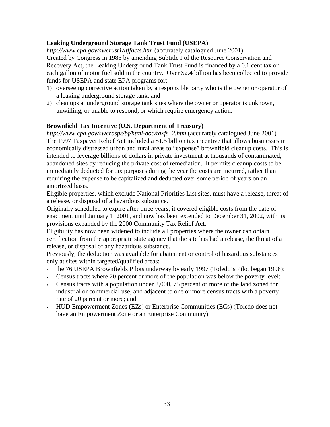#### **Leaking Underground Storage Tank Trust Fund (USEPA)**

*http://www.epa.gov/swerust1/ltffacts.htm* (accurately catalogued June 2001) Created by Congress in 1986 by amending Subtitle I of the Resource Conservation and Recovery Act, the Leaking Underground Tank Trust Fund is financed by a 0.1 cent tax on each gallon of motor fuel sold in the country. Over \$2.4 billion has been collected to provide funds for USEPA and state EPA programs for:

- 1) overseeing corrective action taken by a responsible party who is the owner or operator of a leaking underground storage tank; and
- 2) cleanups at underground storage tank sites where the owner or operator is unknown, unwilling, or unable to respond, or which require emergency action.

#### **Brownfield Tax Incentive (U.S. Department of Treasury)**

*http://www.epa.gov/swerosps/bf/html-doc/taxfs\_2.htm* (accurately catalogued June 2001) The 1997 Taxpayer Relief Act included a \$1.5 billion tax incentive that allows businesses in economically distressed urban and rural areas to "expense" brownfield cleanup costs. This is intended to leverage billions of dollars in private investment at thousands of contaminated, abandoned sites by reducing the private cost of remediation. It permits cleanup costs to be immediately deducted for tax purposes during the year the costs are incurred, rather than requiring the expense to be capitalized and deducted over some period of years on an amortized basis.

Eligible properties, which exclude National Priorities List sites, must have a release, threat of a release, or disposal of a hazardous substance.

Originally scheduled to expire after three years, it covered eligible costs from the date of enactment until January 1, 2001, and now has been extended to December 31, 2002, with its provisions expanded by the 2000 Community Tax Relief Act.

Eligibility has now been widened to include all properties where the owner can obtain certification from the appropriate state agency that the site has had a release, the threat of a release, or disposal of any hazardous substance.

Previously, the deduction was available for abatement or control of hazardous substances only at sites within targeted/qualified areas:

- the 76 USEPA Brownfields Pilots underway by early 1997 (Toledo's Pilot began 1998);
- Census tracts where 20 percent or more of the population was below the poverty level;
- Census tracts with a population under 2,000, 75 percent or more of the land zoned for industrial or commercial use, and adjacent to one or more census tracts with a poverty rate of 20 percent or more; and
- HUD Empowerment Zones (EZs) or Enterprise Communities (ECs) (Toledo does not have an Empowerment Zone or an Enterprise Community).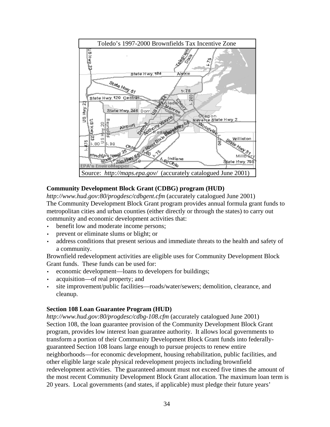

#### **Community Development Block Grant (CDBG) program (HUD)**

*http://www.hud.gov:80/progdesc/cdbgent.cfm* (accurately catalogued June 2001) The Community Development Block Grant program provides annual formula grant funds to metropolitan cities and urban counties (either directly or through the states) to carry out community and economic development activities that:

- benefit low and moderate income persons;
- prevent or eliminate slums or blight; or
- address conditions that present serious and immediate threats to the health and safety of a community.

Brownfield redevelopment activities are eligible uses for Community Development Block Grant funds. These funds can be used for:

- economic development—loans to developers for buildings;
- acquisition—of real property; and
- site improvement/public facilities—roads/water/sewers; demolition, clearance, and cleanup.

#### **Section 108 Loan Guarantee Program (HUD)**

*http://www.hud.gov:80/progdesc/cdbg-108.cfm* (accurately catalogued June 2001) Section 108, the loan guarantee provision of the Community Development Block Grant program, provides low interest loan guarantee authority. It allows local governments to transform a portion of their Community Development Block Grant funds into federallyguaranteed Section 108 loans large enough to pursue projects to renew entire neighborhoods—for economic development, housing rehabilitation, public facilities, and other eligible large scale physical redevelopment projects including brownfield redevelopment activities. The guaranteed amount must not exceed five times the amount of the most recent Community Development Block Grant allocation. The maximum loan term is 20 years. Local governments (and states, if applicable) must pledge their future years'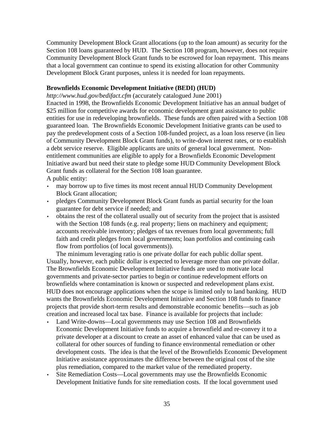Community Development Block Grant allocations (up to the loan amount) as security for the Section 108 loans guaranteed by HUD. The Section 108 program, however, does not require Community Development Block Grant funds to be escrowed for loan repayment. This means that a local government can continue to spend its existing allocation for other Community Development Block Grant purposes, unless it is needed for loan repayments.

#### **Brownfields Economic Development Initiative (BEDI) (HUD)**

*http://www.hud.gov/bedifact.cfm* (accurately catalogued June 2001)

Enacted in 1998, the Brownfields Economic Development Initiative has an annual budget of \$25 million for competitive awards for economic development grant assistance to public entities for use in redeveloping brownfields. These funds are often paired with a Section 108 guaranteed loan. The Brownfields Economic Development Initiative grants can be used to pay the predevelopment costs of a Section 108-funded project, as a loan loss reserve (in lieu of Community Development Block Grant funds), to write-down interest rates, or to establish a debt service reserve. Eligible applicants are units of general local government. Nonentitlement communities are eligible to apply for a Brownfields Economic Development Initiative award but need their state to pledge some HUD Community Development Block Grant funds as collateral for the Section 108 loan guarantee.

A public entity:

- may borrow up to five times its most recent annual HUD Community Development Block Grant allocation;
- pledges Community Development Block Grant funds as partial security for the loan guarantee for debt service if needed; and
- obtains the rest of the collateral usually out of security from the project that is assisted with the Section 108 funds (e.g. real property; liens on machinery and equipment; accounts receivable inventory; pledges of tax revenues from local governments; full faith and credit pledges from local governments; loan portfolios and continuing cash flow from portfolios (of local governments)).

The minimum leveraging ratio is one private dollar for each public dollar spent. Usually, however, each public dollar is expected to leverage more than one private dollar. The Brownfields Economic Development Initiative funds are used to motivate local governments and private-sector parties to begin or continue redevelopment efforts on brownfields where contamination is known or suspected and redevelopment plans exist. HUD does not encourage applications when the scope is limited only to land banking. HUD wants the Brownfields Economic Development Initiative and Section 108 funds to finance projects that provide short-term results and demonstrable economic benefits—such as job creation and increased local tax base. Finance is available for projects that include:

- Land Write-downs—Local governments may use Section 108 and Brownfields Economic Development Initiative funds to acquire a brownfield and re-convey it to a private developer at a discount to create an asset of enhanced value that can be used as collateral for other sources of funding to finance environmental remediation or other development costs. The idea is that the level of the Brownfields Economic Development Initiative assistance approximates the difference between the original cost of the site plus remediation, compared to the market value of the remediated property.
- Site Remediation Costs—Local governments may use the Brownfields Economic Development Initiative funds for site remediation costs. If the local government used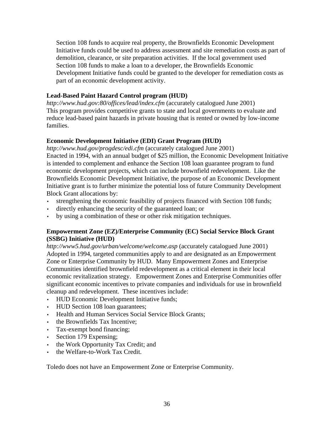Section 108 funds to acquire real property, the Brownfields Economic Development Initiative funds could be used to address assessment and site remediation costs as part of demolition, clearance, or site preparation activities. If the local government used Section 108 funds to make a loan to a developer, the Brownfields Economic Development Initiative funds could be granted to the developer for remediation costs as part of an economic development activity.

#### **Lead-Based Paint Hazard Control program (HUD)**

*http://www.hud.gov:80/offices/lead/index.cfm* (accurately catalogued June 2001) This program provides competitive grants to state and local governments to evaluate and reduce lead-based paint hazards in private housing that is rented or owned by low-income families.

#### **Economic Development Initiative (EDI) Grant Program (HUD)**

*http://www.hud.gov/progdesc/edi.cfm* (accurately catalogued June 2001) Enacted in 1994, with an annual budget of \$25 million, the Economic Development Initiative is intended to complement and enhance the Section 108 loan guarantee program to fund economic development projects, which can include brownfield redevelopment. Like the Brownfields Economic Development Initiative, the purpose of an Economic Development Initiative grant is to further minimize the potential loss of future Community Development Block Grant allocations by:

- strengthening the economic feasibility of projects financed with Section 108 funds;
- directly enhancing the security of the guaranteed loan; or
- by using a combination of these or other risk mitigation techniques.

#### **Empowerment Zone (EZ)/Enterprise Community (EC) Social Service Block Grant (SSBG) Initiative (HUD)**

*http://www5.hud.gov/urban/welcome/welcome.asp* (accurately catalogued June 2001) Adopted in 1994, targeted communities apply to and are designated as an Empowerment Zone or Enterprise Community by HUD. Many Empowerment Zones and Enterprise Communities identified brownfield redevelopment as a critical element in their local economic revitalization strategy. Empowerment Zones and Enterprise Communities offer significant economic incentives to private companies and individuals for use in brownfield cleanup and redevelopment. These incentives include:

- HUD Economic Development Initiative funds;
- HUD Section 108 loan guarantees;
- Health and Human Services Social Service Block Grants;
- the Brownfields Tax Incentive;
- Tax-exempt bond financing;
- Section 179 Expensing;
- the Work Opportunity Tax Credit; and
- the Welfare-to-Work Tax Credit.

Toledo does not have an Empowerment Zone or Enterprise Community.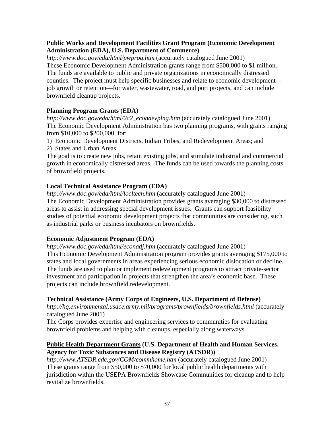#### **Public Works and Development Facilities Grant Program (Economic Development Administration (EDA), U.S. Department of Commerce)**

*http://www.doc.gov/eda/html/pwprog.htm* (accurately catalogued June 2001) These Economic Development Administration grants range from \$500,000 to \$1 million. The funds are available to public and private organizations in economically distressed counties. The project must help specific businesses and relate to economic development job growth or retention—for water, wastewater, road, and port projects, and can include brownfield cleanup projects.

### **Planning Program Grants (EDA)**

*http://www.doc.gov/eda/html/2c2\_econdevplng.htm* (accurately catalogued June 2001) The Economic Development Administration has two planning programs, with grants ranging from \$10,000 to \$200,000, for:

- 1) Economic Development Districts, Indian Tribes, and Redevelopment Areas; and
- 2) States and Urban Areas.

The goal is to create new jobs, retain existing jobs, and stimulate industrial and commercial growth in economically distressed areas. The funds can be used towards the planning costs of brownfield projects.

#### **Local Technical Assistance Program (EDA)**

*http://www.doc.gov/eda/html/locltech.htm* (accurately catalogued June 2001) The Economic Development Administration provides grants averaging \$30,000 to distressed areas to assist in addressing special development issues. Grants can support feasibility studies of potential economic development projects that communities are considering, such as industrial parks or business incubators on brownfields.

### **Economic Adjustment Program (EDA)**

*http://www.doc.gov/eda/html/econadj.htm* (accurately catalogued June 2001) This Economic Development Administration program provides grants averaging \$175,000 to states and local governments in areas experiencing serious economic dislocation or decline. The funds are used to plan or implement redevelopment programs to attract private-sector investment and participation in projects that strengthen the area's economic base. These projects can include brownfield redevelopment.

### **Technical Assistance (Army Corps of Engineers, U.S. Department of Defense)**

*http://hq.environmental.usace.army.mil/programs/brownfields/brownfields.html* (accurately catalogued June 2001)

The Corps provides expertise and engineering services to communities for evaluating brownfield problems and helping with cleanups, especially along waterways.

#### **Public Health Department Grants (U.S. Department of Health and Human Services, Agency for Toxic Substances and Disease Registry (ATSDR))**

*http://www.ATSDR.cdc.gov/COM/commhome.htm* (accurately catalogued June 2001) These grants range from \$50,000 to \$70,000 for local public health departments with jurisdiction within the USEPA Brownfields Showcase Communities for cleanup and to help revitalize brownfields.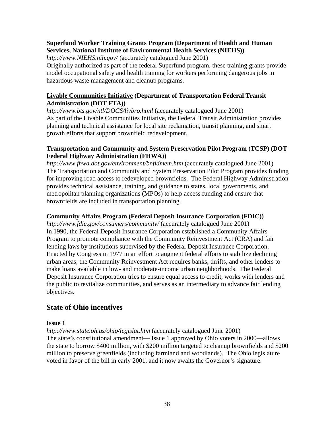#### **Superfund Worker Training Grants Program (Department of Health and Human Services, National Institute of Environmental Health Services (NIEHS))**

*http://www.NIEHS.nih.gov/* (accurately catalogued June 2001)

Originally authorized as part of the federal Superfund program, these training grants provide model occupational safety and health training for workers performing dangerous jobs in hazardous waste management and cleanup programs.

#### **Livable Communities Initiative (Department of Transportation Federal Transit Administration (DOT FTA))**

*http://www.bts.gov/ntl/DOCS/livbro.html* (accurately catalogued June 2001) As part of the Livable Communities Initiative, the Federal Transit Administration provides planning and technical assistance for local site reclamation, transit planning, and smart growth efforts that support brownfield redevelopment.

#### **Transportation and Community and System Preservation Pilot Program (TCSP) (DOT Federal Highway Administration (FHWA))**

*http://www.fhwa.dot.gov/environment/bnfldmem.htm* (accurately catalogued June 2001) The Transportation and Community and System Preservation Pilot Program provides funding for improving road access to redeveloped brownfields. The Federal Highway Administration provides technical assistance, training, and guidance to states, local governments, and metropolitan planning organizations (MPOs) to help access funding and ensure that brownfields are included in transportation planning.

#### **Community Affairs Program (Federal Deposit Insurance Corporation (FDIC))**

*http://www.fdic.gov/consumers/community/* (accurately catalogued June 2001) In 1990, the Federal Deposit Insurance Corporation established a Community Affairs Program to promote compliance with the Community Reinvestment Act (CRA) and fair lending laws by institutions supervised by the Federal Deposit Insurance Corporation. Enacted by Congress in 1977 in an effort to augment federal efforts to stabilize declining urban areas, the Community Reinvestment Act requires banks, thrifts, and other lenders to make loans available in low- and moderate-income urban neighborhoods. The Federal Deposit Insurance Corporation tries to ensure equal access to credit, works with lenders and the public to revitalize communities, and serves as an intermediary to advance fair lending objectives.

### **State of Ohio incentives**

#### **Issue 1**

*http://www.state.oh.us/ohio/legislat.htm* (accurately catalogued June 2001) The state's constitutional amendment— Issue 1 approved by Ohio voters in 2000—allows the state to borrow \$400 million, with \$200 million targeted to cleanup brownfields and \$200 million to preserve greenfields (including farmland and woodlands). The Ohio legislature voted in favor of the bill in early 2001, and it now awaits the Governor's signature.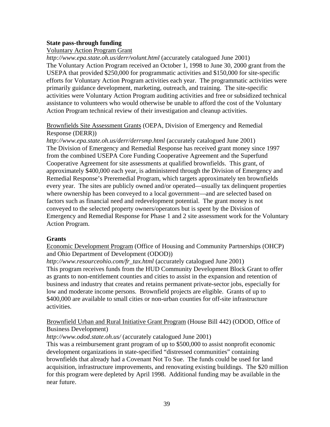#### **State pass-through funding**

#### Voluntary Action Program Grant

*http://www.epa.state.oh.us/derr/volunt.html* (accurately catalogued June 2001) The Voluntary Action Program received an October 1, 1998 to June 30, 2000 grant from the USEPA that provided \$250,000 for programmatic activities and \$150,000 for site-specific efforts for Voluntary Action Program activities each year. The programmatic activities were primarily guidance development, marketing, outreach, and training. The site-specific activities were Voluntary Action Program auditing activities and free or subsidized technical assistance to volunteers who would otherwise be unable to afford the cost of the Voluntary Action Program technical review of their investigation and cleanup activities.

#### Brownfields Site Assessment Grants (OEPA, Division of Emergency and Remedial Response (DERR))

*http://www.epa.state.oh.us/derr/derrsmp.html* (accurately catalogued June 2001) The Division of Emergency and Remedial Response has received grant money since 1997 from the combined USEPA Core Funding Cooperative Agreement and the Superfund Cooperative Agreement for site assessments at qualified brownfields. This grant, of approximately \$400,000 each year, is administered through the Division of Emergency and Remedial Response's Preremedial Program, which targets approximately ten brownfields every year. The sites are publicly owned and/or operated—usually tax delinquent properties where ownership has been conveyed to a local government—and are selected based on factors such as financial need and redevelopment potential. The grant money is not conveyed to the selected property owners/operators but is spent by the Division of Emergency and Remedial Response for Phase 1 and 2 site assessment work for the Voluntary Action Program.

#### **Grants**

Economic Development Program (Office of Housing and Community Partnerships (OHCP) and Ohio Department of Development (ODOD))

*http://www.resourceohio.com/fr\_tax.html* (accurately catalogued June 2001) This program receives funds from the HUD Community Development Block Grant to offer as grants to non-entitlement counties and cities to assist in the expansion and retention of business and industry that creates and retains permanent private-sector jobs, especially for low and moderate income persons. Brownfield projects are eligible. Grants of up to \$400,000 are available to small cities or non-urban counties for off-site infrastructure activities.

#### Brownfield Urban and Rural Initiative Grant Program (House Bill 442) (ODOD, Office of Business Development)

*http://www.odod.state.oh.us/* (accurately catalogued June 2001)

This was a reimbursement grant program of up to \$500,000 to assist nonprofit economic development organizations in state-specified "distressed communities" containing brownfields that already had a Covenant Not To Sue. The funds could be used for land acquisition, infrastructure improvements, and renovating existing buildings. The \$20 million for this program were depleted by April 1998. Additional funding may be available in the near future.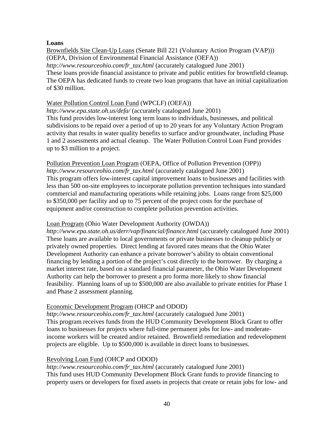#### **Loans**

Brownfields Site Clean-Up Loans (Senate Bill 221 (Voluntary Action Program (VAP))) (OEPA, Division of Environmental Financial Assistance (OEFA)) *http://www.resourceohio.com/fr\_tax.html* (accurately catalogued June 2001) These loans provide financial assistance to private and public entities for brownfield cleanup. The OEPA has dedicated funds to create two loan programs that have an initial capitalization of \$30 million.

#### Water Pollution Control Loan Fund (WPCLF) (OEFA))

*http://www.epa.state.oh.us/defa/* (accurately catalogued June 2001) This fund provides low-interest long term loans to individuals, businesses, and political subdivisions to be repaid over a period of up to 20 years for any Voluntary Action Program activity that results in water quality benefits to surface and/or groundwater, including Phase 1 and 2 assessments and actual cleanup. The Water Pollution Control Loan Fund provides up to \$3 million to a project.

Pollution Prevention Loan Program (OEPA, Office of Pollution Prevention (OPP))

*http://www.resourceohio.com/fr\_tax.html* (accurately catalogued June 2001) This program offers low-interest capital improvement loans to businesses and facilities with less than 500 on-site employees to incorporate pollution prevention techniques into standard commercial and manufacturing operations while retaining jobs. Loans range from \$25,000 to \$350,000 per facility and up to 75 percent of the project costs for the purchase of equipment and/or construction to complete pollution prevention activities.

#### Loan Program (Ohio Water Development Authority (OWDA))

*http://www.epa.state.oh.us/derr/vap/financial/finance.html* (accurately catalogued June 2001) These loans are available to local governments or private businesses to cleanup publicly or privately owned properties. Direct lending at favored rates means that the Ohio Water Development Authority can enhance a private borrower's ability to obtain conventional financing by lending a portion of the project's cost directly to the borrower. By charging a market interest rate, based on a standard financial parameter, the Ohio Water Development Authority can help the borrower to present a pro forma more likely to show financial feasibility. Planning loans of up to \$500,000 are also available to private entities for Phase 1 and Phase 2 assessment planning.

#### Economic Development Program (OHCP and ODOD)

*http://www.resourceohio.com/fr\_tax.html* (accurately catalogued June 2001) This program receives funds from the HUD Community Development Block Grant to offer loans to businesses for projects where full-time permanent jobs for low- and moderateincome workers will be created and/or retained. Brownfield remediation and redevelopment projects are eligible. Up to \$500,000 is available in direct loans to businesses.

#### Revolving Loan Fund (OHCP and ODOD)

*http://www.resourceohio.com/fr\_tax.html* (accurately catalogued June 2001) This fund uses HUD Community Development Block Grant funds to provide financing to property users or developers for fixed assets in projects that create or retain jobs for low- and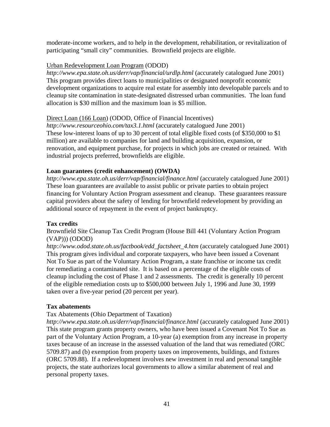moderate-income workers, and to help in the development, rehabilitation, or revitalization of participating "small city" communities. Brownfield projects are eligible.

#### Urban Redevelopment Loan Program (ODOD)

*http://www.epa.state.oh.us/derr/vap/financial/urdlp.html* (accurately catalogued June 2001) This program provides direct loans to municipalities or designated nonprofit economic development organizations to acquire real estate for assembly into developable parcels and to cleanup site contamination in state-designated distressed urban communities. The loan fund allocation is \$30 million and the maximum loan is \$5 million.

#### Direct Loan (166 Loan) (ODOD, Office of Financial Incentives)

*http://www.resourceohio.com/tax3.1.html* (accurately catalogued June 2001) These low-interest loans of up to 30 percent of total eligible fixed costs (of \$350,000 to \$1 million) are available to companies for land and building acquisition, expansion, or renovation, and equipment purchase, for projects in which jobs are created or retained. With industrial projects preferred, brownfields are eligible.

#### **Loan guarantees (credit enhancement) (OWDA)**

*http://www.epa.state.oh.us/derr/vap/financial/finance.html* (accurately catalogued June 2001) These loan guarantees are available to assist public or private parties to obtain project financing for Voluntary Action Program assessment and cleanup. These guarantees reassure capital providers about the safety of lending for brownfield redevelopment by providing an additional source of repayment in the event of project bankruptcy.

#### **Tax credits**

Brownfield Site Cleanup Tax Credit Program (House Bill 441 (Voluntary Action Program (VAP))) (ODOD)

*http://www.odod.state.oh.us/factbook/edd\_factsheet\_4.htm* (accurately catalogued June 2001) This program gives individual and corporate taxpayers, who have been issued a Covenant Not To Sue as part of the Voluntary Action Program, a state franchise or income tax credit for remediating a contaminated site. It is based on a percentage of the eligible costs of cleanup including the cost of Phase 1 and 2 assessments. The credit is generally 10 percent of the eligible remediation costs up to \$500,000 between July 1, 1996 and June 30, 1999 taken over a five-year period (20 percent per year).

#### **Tax abatements**

#### Tax Abatements (Ohio Department of Taxation)

*http://www.epa.state.oh.us/derr/vap/financial/finance.html* (accurately catalogued June 2001) This state program grants property owners, who have been issued a Covenant Not To Sue as part of the Voluntary Action Program, a 10-year (a) exemption from any increase in property taxes because of an increase in the assessed valuation of the land that was remediated (ORC 5709.87) and (b) exemption from property taxes on improvements, buildings, and fixtures (ORC 5709.88). If a redevelopment involves new investment in real and personal tangible projects, the state authorizes local governments to allow a similar abatement of real and personal property taxes.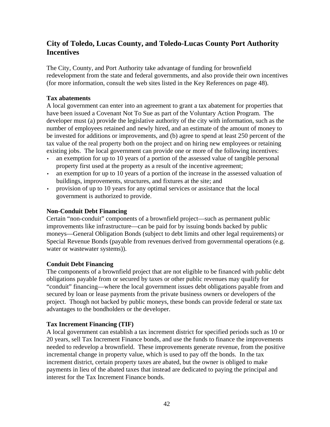## **City of Toledo, Lucas County, and Toledo-Lucas County Port Authority Incentives**

The City, County, and Port Authority take advantage of funding for brownfield redevelopment from the state and federal governments, and also provide their own incentives (for more information, consult the web sites listed in the Key References on page 48).

#### **Tax abatements**

A local government can enter into an agreement to grant a tax abatement for properties that have been issued a Covenant Not To Sue as part of the Voluntary Action Program. The developer must (a) provide the legislative authority of the city with information, such as the number of employees retained and newly hired, and an estimate of the amount of money to be invested for additions or improvements, and (b) agree to spend at least 250 percent of the tax value of the real property both on the project and on hiring new employees or retaining existing jobs. The local government can provide one or more of the following incentives:

- an exemption for up to 10 years of a portion of the assessed value of tangible personal property first used at the property as a result of the incentive agreement;
- an exemption for up to 10 years of a portion of the increase in the assessed valuation of buildings, improvements, structures, and fixtures at the site; and
- provision of up to 10 years for any optimal services or assistance that the local government is authorized to provide.

#### **Non-Conduit Debt Financing**

Certain "non-conduit" components of a brownfield project—such as permanent public improvements like infrastructure—can be paid for by issuing bonds backed by public moneys—General Obligation Bonds (subject to debt limits and other legal requirements) or Special Revenue Bonds (payable from revenues derived from governmental operations (e.g. water or wastewater systems)).

### **Conduit Debt Financing**

The components of a brownfield project that are not eligible to be financed with public debt obligations payable from or secured by taxes or other public revenues may qualify for "conduit" financing—where the local government issues debt obligations payable from and secured by loan or lease payments from the private business owners or developers of the project. Though not backed by public moneys, these bonds can provide federal or state tax advantages to the bondholders or the developer.

### **Tax Increment Financing (TIF)**

A local government can establish a tax increment district for specified periods such as 10 or 20 years, sell Tax Increment Finance bonds, and use the funds to finance the improvements needed to redevelop a brownfield. These improvements generate revenue, from the positive incremental change in property value, which is used to pay off the bonds. In the tax increment district, certain property taxes are abated, but the owner is obliged to make payments in lieu of the abated taxes that instead are dedicated to paying the principal and interest for the Tax Increment Finance bonds.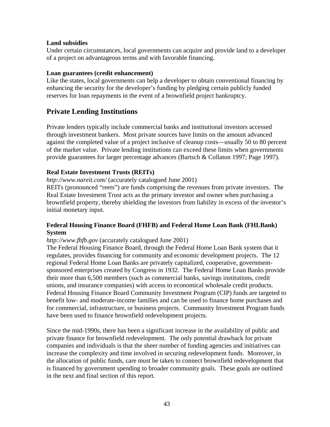#### **Land subsidies**

Under certain circumstances, local governments can acquire and provide land to a developer of a project on advantageous terms and with favorable financing.

#### **Loan guarantees (credit enhancement)**

Like the states, local governments can help a developer to obtain conventional financing by enhancing the security for the developer's funding by pledging certain publicly funded reserves for loan repayments in the event of a brownfield project bankruptcy.

### **Private Lending Institutions**

Private lenders typically include commercial banks and institutional investors accessed through investment bankers. Most private sources have limits on the amount advanced against the completed value of a project inclusive of cleanup costs—usually 50 to 80 percent of the market value. Private lending institutions can exceed these limits when governments provide guarantees for larger percentage advances (Bartsch & Collaton 1997; Page 1997).

#### **Real Estate Investment Trusts (REITs)**

*http://www.nareit.com/* (accurately catalogued June 2001)

REITs (pronounced "reets") are funds comprising the revenues from private investors. The Real Estate Investment Trust acts as the primary investor and owner when purchasing a brownfield property, thereby shielding the investors from liability in excess of the investor's initial monetary input.

#### **Federal Housing Finance Board (FHFB) and Federal Home Loan Bank (FHLBank) System**

*http://www.fhfb.gov* (accurately catalogued June 2001)

The Federal Housing Finance Board, through the Federal Home Loan Bank system that it regulates, provides financing for community and economic development projects. The 12 regional Federal Home Loan Banks are privately capitalized, cooperative, governmentsponsored enterprises created by Congress in 1932. The Federal Home Loan Banks provide their more than 6,500 members (such as commercial banks, savings institutions, credit unions, and insurance companies) with access to economical wholesale credit products. Federal Housing Finance Board Community Investment Program (CIP) funds are targeted to benefit low- and moderate-income families and can be used to finance home purchases and for commercial, infrastructure, or business projects. Community Investment Program funds have been used to finance brownfield redevelopment projects.

Since the mid-1990s, there has been a significant increase in the availability of public and private finance for brownfield redevelopment. The only potential drawback for private companies and individuals is that the sheer number of funding agencies and initiatives can increase the complexity and time involved in securing redevelopment funds. Moreover, in the allocation of public funds, care must be taken to connect brownfield redevelopment that is financed by government spending to broader community goals. These goals are outlined in the next and final section of this report.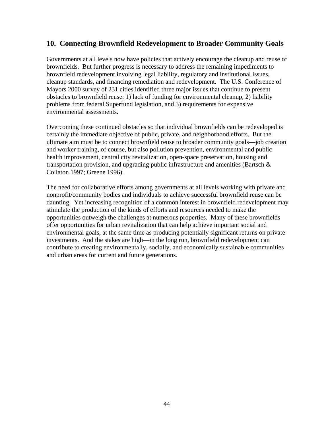### **10. Connecting Brownfield Redevelopment to Broader Community Goals**

Governments at all levels now have policies that actively encourage the cleanup and reuse of brownfields. But further progress is necessary to address the remaining impediments to brownfield redevelopment involving legal liability, regulatory and institutional issues, cleanup standards, and financing remediation and redevelopment. The U.S. Conference of Mayors 2000 survey of 231 cities identified three major issues that continue to present obstacles to brownfield reuse: 1) lack of funding for environmental cleanup, 2) liability problems from federal Superfund legislation, and 3) requirements for expensive environmental assessments.

Overcoming these continued obstacles so that individual brownfields can be redeveloped is certainly the immediate objective of public, private, and neighborhood efforts. But the ultimate aim must be to connect brownfield reuse to broader community goals—job creation and worker training, of course, but also pollution prevention, environmental and public health improvement, central city revitalization, open-space preservation, housing and transportation provision, and upgrading public infrastructure and amenities (Bartsch & Collaton 1997; Greene 1996).

The need for collaborative efforts among governments at all levels working with private and nonprofit/community bodies and individuals to achieve successful brownfield reuse can be daunting. Yet increasing recognition of a common interest in brownfield redevelopment may stimulate the production of the kinds of efforts and resources needed to make the opportunities outweigh the challenges at numerous properties. Many of these brownfields offer opportunities for urban revitalization that can help achieve important social and environmental goals, at the same time as producing potentially significant returns on private investments. And the stakes are high—in the long run, brownfield redevelopment can contribute to creating environmentally, socially, and economically sustainable communities and urban areas for current and future generations.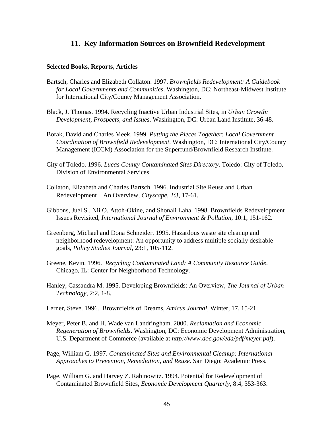#### **11. Key Information Sources on Brownfield Redevelopment**

#### **Selected Books, Reports, Articles**

- Bartsch, Charles and Elizabeth Collaton. 1997. *Brownfields Redevelopment: A Guidebook for Local Governments and Communities*. Washington, DC: Northeast-Midwest Institute for International City/County Management Association.
- Black, J. Thomas. 1994. Recycling Inactive Urban Industrial Sites, in *Urban Growth: Development, Prospects, and Issues*. Washington, DC: Urban Land Institute, 36-48.
- Borak, David and Charles Meek. 1999. *Putting the Pieces Together: Local Government Coordination of Brownfield Redevelopment*. Washington, DC: International City/County Management (ICCM) Association for the Superfund/Brownfield Research Institute.
- City of Toledo. 1996. *Lucas County Contaminated Sites Directory*. Toledo: City of Toledo, Division of Environmental Services.
- Collaton, Elizabeth and Charles Bartsch. 1996. Industrial Site Reuse and Urban Redevelopment-An Overview, *Cityscape*, 2:3, 17-61.
- Gibbons, Juel S., Nii O. Attoh-Okine, and Shonali Laha. 1998. Brownfields Redevelopment Issues Revisited, *International Journal of Environment & Pollution*, 10:1, 151-162.
- Greenberg, Michael and Dona Schneider. 1995. Hazardous waste site cleanup and neighborhood redevelopment: An opportunity to address multiple socially desirable goals, *Policy Studies Journal*, 23:1, 105-112.
- Greene, Kevin. 1996. *Recycling Contaminated Land: A Community Resource Guide*. Chicago, IL: Center for Neighborhood Technology.
- Hanley, Cassandra M. 1995. Developing Brownfields: An Overview, *The Journal of Urban Technology*, 2:2, 1-8.
- Lerner, Steve. 1996. Brownfields of Dreams, *Amicus Journal*, Winter, 17, 15-21.
- Meyer, Peter B. and H. Wade van Landringham. 2000. *Reclamation and Economic Regeneration of Brownfields*. Washington, DC: Economic Development Administration, U.S. Department of Commerce (available at *http://www.doc.gov/eda/pdf/meyer.pdf*).
- Page, William G. 1997. *Contaminated Sites and Environmental Cleanup: International Approaches to Prevention, Remediation, and Reuse*. San Diego: Academic Press.
- Page, William G. and Harvey Z. Rabinowitz. 1994. Potential for Redevelopment of Contaminated Brownfield Sites, *Economic Development Quarterly*, 8:4, 353-363.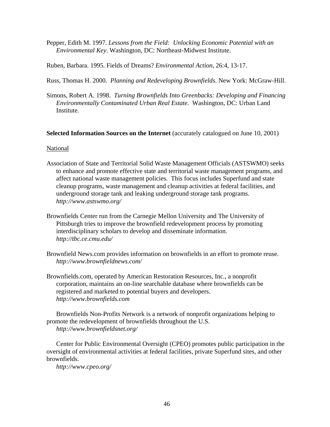Pepper, Edith M. 1997. *Lessons from the Field: Unlocking Economic Potential with an Environmental Key*. Washington, DC: Northeast-Midwest Institute.

Ruben, Barbara. 1995. Fields of Dreams? *Environmental Action*, 26:4, 13-17.

Russ, Thomas H. 2000. *Planning and Redeveloping Brownfields*. New York: McGraw-Hill.

Simons, Robert A. 1998. *Turning Brownfields Into Greenbacks: Developing and Financing Environmentally Contaminated Urban Real Estate*. Washington, DC: Urban Land Institute.

#### **Selected Information Sources on the Internet** (accurately catalogued on June 10, 2001)

#### National

- Association of State and Territorial Solid Waste Management Officials (ASTSWMO) seeks to enhance and promote effective state and territorial waste management programs, and affect national waste management policies. This focus includes Superfund and state cleanup programs, waste management and cleanup activities at federal facilities, and underground storage tank and leaking underground storage tank programs. *http://www.astswmo.org/*
- Brownfields Center run from the Carnegie Mellon University and The University of Pittsburgh tries to improve the brownfield redevelopment process by promoting interdisciplinary scholars to develop and disseminate information. *http://tbc.ce.cmu.edu/*
- Brownfield News.com provides information on brownfields in an effort to promote reuse. *http://www.brownfieldnews.com/*
- Brownfields.com, operated by American Restoration Resources, Inc., a nonprofit corporation, maintains an on-line searchable database where brownfields can be registered and marketed to potential buyers and developers. *http://www.brownfields.com*

Brownfields Non-Profits Network is a network of nonprofit organizations helping to promote the redevelopment of brownfields throughout the U.S.

*http://www.brownfieldsnet.org/*

Center for Public Environmental Oversight (CPEO) promotes public participation in the oversight of environmental activities at federal facilities, private Superfund sites, and other brownfields.

*http://www.cpeo.org/*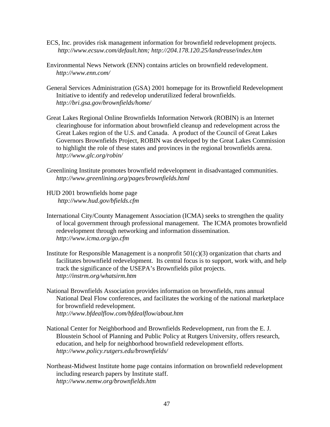- ECS, Inc. provides risk management information for brownfield redevelopment projects. *http://www.ecsuw.com/default.htm; http://204.178.120.25/landreuse/index.htm*
- Environmental News Network (ENN) contains articles on brownfield redevelopment. *http://www.enn.com/*
- General Services Administration (GSA) 2001 homepage for its Brownfield Redevelopment Initiative to identify and redevelop underutilized federal brownfields. *http://bri.gsa.gov/brownfields/home/*
- Great Lakes Regional Online Brownfields Information Network (ROBIN) is an Internet clearinghouse for information about brownfield cleanup and redevelopment across the Great Lakes region of the U.S. and Canada. A product of the Council of Great Lakes Governors Brownfields Project, ROBIN was developed by the Great Lakes Commission to highlight the role of these states and provinces in the regional brownfields arena. *http://www.glc.org/robin/*
- Greenlining Institute promotes brownfield redevelopment in disadvantaged communities. *http://www.greenlining.org/pages/brownfields.html*
- HUD 2001 brownfields home page *http://www.hud.gov/bfields.cfm*
- International City/County Management Association (ICMA) seeks to strengthen the quality of local government through professional management. The ICMA promotes brownfield redevelopment through networking and information dissemination. *http://www.icma.org/go.cfm*
- Institute for Responsible Management is a nonprofit  $501(c)(3)$  organization that charts and facilitates brownfield redevelopment. Its central focus is to support, work with, and help track the significance of the USEPA's Brownfields pilot projects. *http://instrm.org/whatsirm.htm*
- National Brownfields Association provides information on brownfields, runs annual National Deal Flow conferences, and facilitates the working of the national marketplace for brownfield redevelopment. *http://www.bfdealflow.com/bfdealflow/about.htm*
- National Center for Neighborhood and Brownfields Redevelopment, run from the E. J. Bloustein School of Planning and Public Policy at Rutgers University, offers research, education, and help for neighborhood brownfield redevelopment efforts. *http://www.policy.rutgers.edu/brownfields/*
- Northeast-Midwest Institute home page contains information on brownfield redevelopment including research papers by Institute staff. *http://www.nemw.org/brownfields.htm*